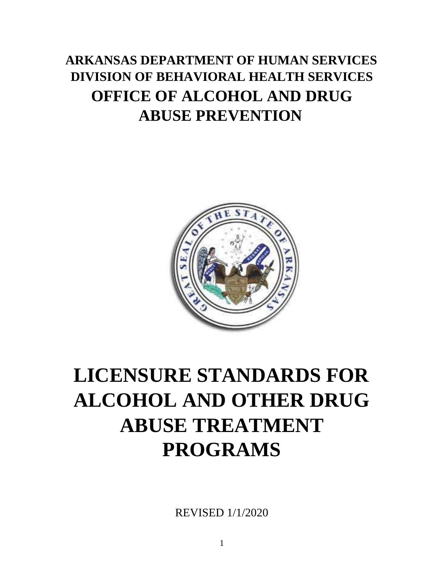# **ARKANSAS DEPARTMENT OF HUMAN SERVICES DIVISION OF BEHAVIORAL HEALTH SERVICES OFFICE OF ALCOHOL AND DRUG ABUSE PREVENTION**



# **LICENSURE STANDARDS FOR ALCOHOL AND OTHER DRUG ABUSE TREATMENT PROGRAMS**

REVISED 1/1/2020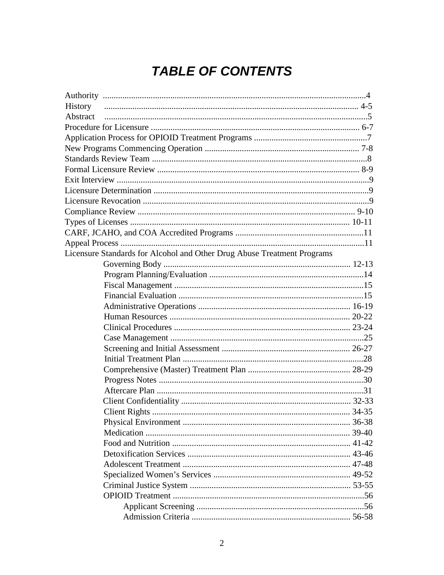# **TABLE OF CONTENTS**

| History                                                                 |  |
|-------------------------------------------------------------------------|--|
| Abstract                                                                |  |
|                                                                         |  |
|                                                                         |  |
|                                                                         |  |
|                                                                         |  |
|                                                                         |  |
|                                                                         |  |
|                                                                         |  |
|                                                                         |  |
|                                                                         |  |
|                                                                         |  |
|                                                                         |  |
|                                                                         |  |
| Licensure Standards for Alcohol and Other Drug Abuse Treatment Programs |  |
|                                                                         |  |
|                                                                         |  |
|                                                                         |  |
|                                                                         |  |
|                                                                         |  |
|                                                                         |  |
|                                                                         |  |
|                                                                         |  |
|                                                                         |  |
|                                                                         |  |
|                                                                         |  |
|                                                                         |  |
|                                                                         |  |
|                                                                         |  |
|                                                                         |  |
|                                                                         |  |
|                                                                         |  |
|                                                                         |  |
|                                                                         |  |
|                                                                         |  |
|                                                                         |  |
|                                                                         |  |
|                                                                         |  |
|                                                                         |  |
|                                                                         |  |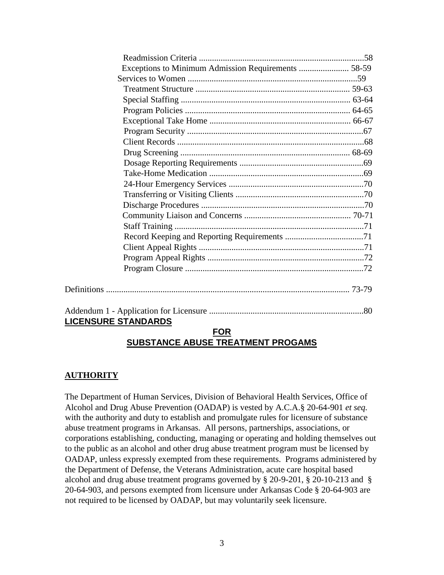| Exceptions to Minimum Admission Requirements  58-59 |  |  |
|-----------------------------------------------------|--|--|
|                                                     |  |  |
|                                                     |  |  |
|                                                     |  |  |
|                                                     |  |  |
|                                                     |  |  |
|                                                     |  |  |
|                                                     |  |  |
|                                                     |  |  |
|                                                     |  |  |
|                                                     |  |  |
|                                                     |  |  |
|                                                     |  |  |
|                                                     |  |  |
|                                                     |  |  |
|                                                     |  |  |
|                                                     |  |  |
|                                                     |  |  |
|                                                     |  |  |
|                                                     |  |  |
|                                                     |  |  |
|                                                     |  |  |
|                                                     |  |  |
|                                                     |  |  |
| <b>LICENSURE STANDARDS</b>                          |  |  |
| <b>COD</b>                                          |  |  |

#### **FOR SUBSTANCE ABUSE TREATMENT PROGAMS**

# **AUTHORITY**

The Department of Human Services, Division of Behavioral Health Services, Office of Alcohol and Drug Abuse Prevention (OADAP) is vested by A.C.A.§ 20-64-901 *et seq.* with the authority and duty to establish and promulgate rules for licensure of substance abuse treatment programs in Arkansas. All persons, partnerships, associations, or corporations establishing, conducting, managing or operating and holding themselves out to the public as an alcohol and other drug abuse treatment program must be licensed by OADAP, unless expressly exempted from these requirements. Programs administered by the Department of Defense, the Veterans Administration, acute care hospital based alcohol and drug abuse treatment programs governed by § 20-9-201, § 20-10-213 and § 20-64-903, and persons exempted from licensure under Arkansas Code § 20-64-903 are not required to be licensed by OADAP, but may voluntarily seek licensure.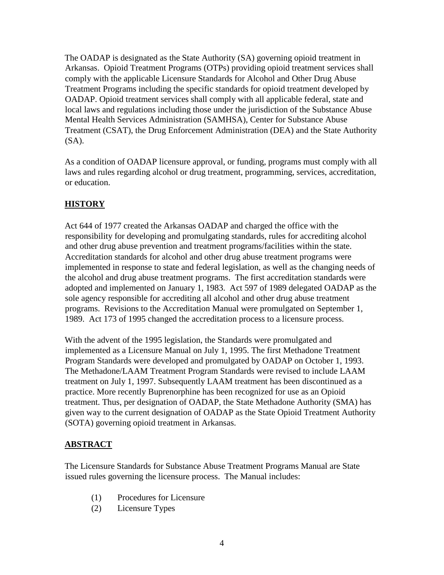The OADAP is designated as the State Authority (SA) governing opioid treatment in Arkansas. Opioid Treatment Programs (OTPs) providing opioid treatment services shall comply with the applicable Licensure Standards for Alcohol and Other Drug Abuse Treatment Programs including the specific standards for opioid treatment developed by OADAP. Opioid treatment services shall comply with all applicable federal, state and local laws and regulations including those under the jurisdiction of the Substance Abuse Mental Health Services Administration (SAMHSA), Center for Substance Abuse Treatment (CSAT), the Drug Enforcement Administration (DEA) and the State Authority  $(SA)$ .

As a condition of OADAP licensure approval, or funding, programs must comply with all laws and rules regarding alcohol or drug treatment, programming, services, accreditation, or education.

# **HISTORY**

Act 644 of 1977 created the Arkansas OADAP and charged the office with the responsibility for developing and promulgating standards, rules for accrediting alcohol and other drug abuse prevention and treatment programs/facilities within the state. Accreditation standards for alcohol and other drug abuse treatment programs were implemented in response to state and federal legislation, as well as the changing needs of the alcohol and drug abuse treatment programs. The first accreditation standards were adopted and implemented on January 1, 1983. Act 597 of 1989 delegated OADAP as the sole agency responsible for accrediting all alcohol and other drug abuse treatment programs. Revisions to the Accreditation Manual were promulgated on September 1, 1989. Act 173 of 1995 changed the accreditation process to a licensure process.

With the advent of the 1995 legislation, the Standards were promulgated and implemented as a Licensure Manual on July 1, 1995. The first Methadone Treatment Program Standards were developed and promulgated by OADAP on October 1, 1993. The Methadone/LAAM Treatment Program Standards were revised to include LAAM treatment on July 1, 1997. Subsequently LAAM treatment has been discontinued as a practice. More recently Buprenorphine has been recognized for use as an Opioid treatment. Thus, per designation of OADAP, the State Methadone Authority (SMA) has given way to the current designation of OADAP as the State Opioid Treatment Authority (SOTA) governing opioid treatment in Arkansas.

#### **ABSTRACT**

The Licensure Standards for Substance Abuse Treatment Programs Manual are State issued rules governing the licensure process. The Manual includes:

- (1) Procedures for Licensure
- (2) Licensure Types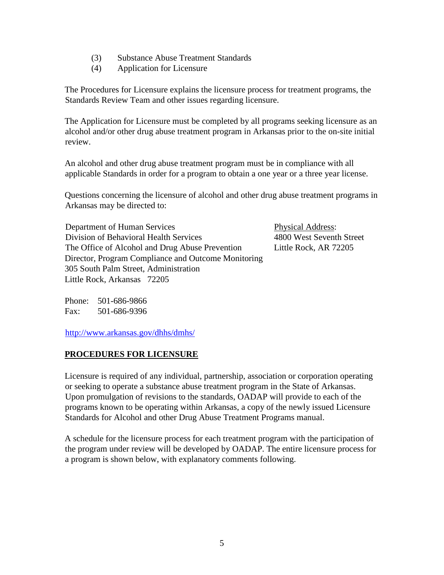- (3) Substance Abuse Treatment Standards
- (4) Application for Licensure

The Procedures for Licensure explains the licensure process for treatment programs, the Standards Review Team and other issues regarding licensure.

The Application for Licensure must be completed by all programs seeking licensure as an alcohol and/or other drug abuse treatment program in Arkansas prior to the on-site initial review.

An alcohol and other drug abuse treatment program must be in compliance with all applicable Standards in order for a program to obtain a one year or a three year license.

Questions concerning the licensure of alcohol and other drug abuse treatment programs in Arkansas may be directed to:

Department of Human Services Physical Address: Division of Behavioral Health Services 4800 West Seventh Street The Office of Alcohol and Drug Abuse Prevention Little Rock, AR 72205 Director, Program Compliance and Outcome Monitoring 305 South Palm Street, Administration Little Rock, Arkansas 72205

Phone: 501-686-9866 Fax: 501-686-9396

<http://www.arkansas.gov/dhhs/dmhs/>

#### **PROCEDURES FOR LICENSURE**

Licensure is required of any individual, partnership, association or corporation operating or seeking to operate a substance abuse treatment program in the State of Arkansas. Upon promulgation of revisions to the standards, OADAP will provide to each of the programs known to be operating within Arkansas, a copy of the newly issued Licensure Standards for Alcohol and other Drug Abuse Treatment Programs manual.

A schedule for the licensure process for each treatment program with the participation of the program under review will be developed by OADAP. The entire licensure process for a program is shown below, with explanatory comments following.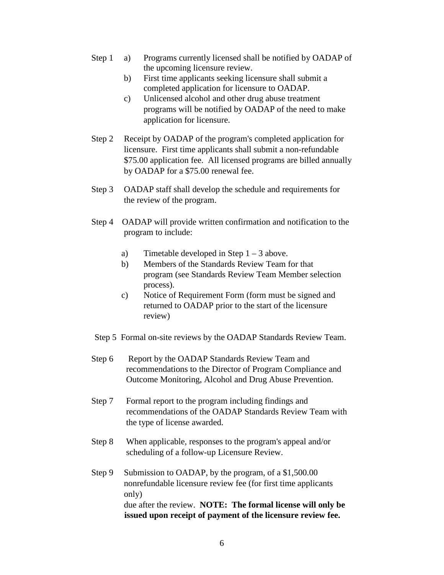- Step 1 a) Programs currently licensed shall be notified by OADAP of the upcoming licensure review.
	- b) First time applicants seeking licensure shall submit a completed application for licensure to OADAP.
	- c) Unlicensed alcohol and other drug abuse treatment programs will be notified by OADAP of the need to make application for licensure.
- Step 2 Receipt by OADAP of the program's completed application for licensure. First time applicants shall submit a non-refundable \$75.00 application fee. All licensed programs are billed annually by OADAP for a \$75.00 renewal fee.
- Step 3 OADAP staff shall develop the schedule and requirements for the review of the program.
- Step 4 OADAP will provide written confirmation and notification to the program to include:
	- a) Timetable developed in Step  $1 3$  above.
	- b) Members of the Standards Review Team for that program (see Standards Review Team Member selection process).
	- c) Notice of Requirement Form (form must be signed and returned to OADAP prior to the start of the licensure review)
- Step 5 Formal on-site reviews by the OADAP Standards Review Team.
- Step 6 Report by the OADAP Standards Review Team and recommendations to the Director of Program Compliance and Outcome Monitoring, Alcohol and Drug Abuse Prevention.
- Step 7 Formal report to the program including findings and recommendations of the OADAP Standards Review Team with the type of license awarded.
- Step 8 When applicable, responses to the program's appeal and/or scheduling of a follow-up Licensure Review.
- Step 9 Submission to OADAP, by the program, of a \$1,500.00 nonrefundable licensure review fee (for first time applicants only) due after the review. **NOTE: The formal license will only be issued upon receipt of payment of the licensure review fee.**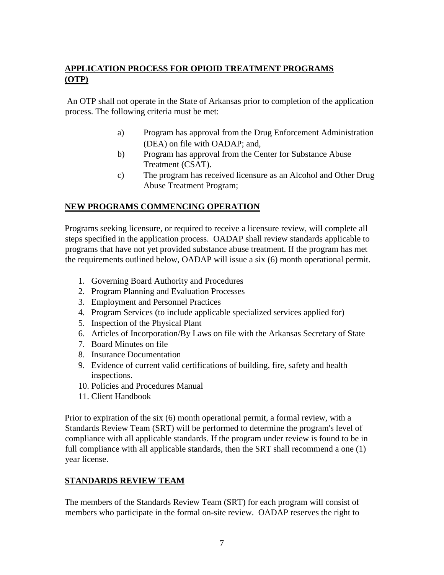# **APPLICATION PROCESS FOR OPIOID TREATMENT PROGRAMS (OTP)**

An OTP shall not operate in the State of Arkansas prior to completion of the application process. The following criteria must be met:

- a) Program has approval from the Drug Enforcement Administration (DEA) on file with OADAP; and,
- b) Program has approval from the Center for Substance Abuse Treatment (CSAT).
- c) The program has received licensure as an Alcohol and Other Drug Abuse Treatment Program;

# **NEW PROGRAMS COMMENCING OPERATION**

Programs seeking licensure, or required to receive a licensure review, will complete all steps specified in the application process. OADAP shall review standards applicable to programs that have not yet provided substance abuse treatment. If the program has met the requirements outlined below, OADAP will issue a six (6) month operational permit.

- 1. Governing Board Authority and Procedures
- 2. Program Planning and Evaluation Processes
- 3. Employment and Personnel Practices
- 4. Program Services (to include applicable specialized services applied for)
- 5. Inspection of the Physical Plant
- 6. Articles of Incorporation/By Laws on file with the Arkansas Secretary of State
- 7. Board Minutes on file
- 8. Insurance Documentation
- 9. Evidence of current valid certifications of building, fire, safety and health inspections.
- 10. Policies and Procedures Manual
- 11. Client Handbook

Prior to expiration of the six (6) month operational permit, a formal review, with a Standards Review Team (SRT) will be performed to determine the program's level of compliance with all applicable standards. If the program under review is found to be in full compliance with all applicable standards, then the SRT shall recommend a one (1) year license.

#### **STANDARDS REVIEW TEAM**

The members of the Standards Review Team (SRT) for each program will consist of members who participate in the formal on-site review. OADAP reserves the right to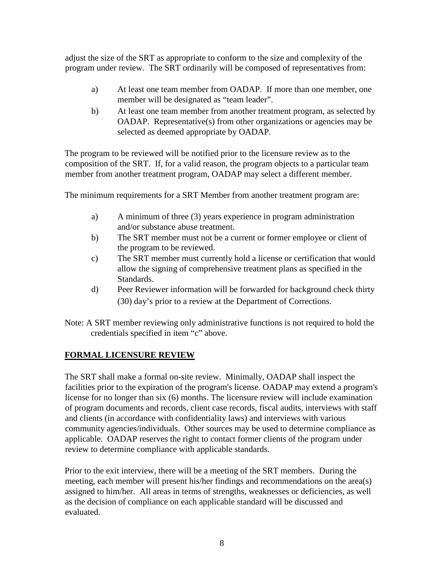adjust the size of the SRT as appropriate to conform to the size and complexity of the program under review. The SRT ordinarily will be composed of representatives from:

- a) At least one team member from OADAP. If more than one member, one member will be designated as "team leader".
- b) At least one team member from another treatment program, as selected by OADAP. Representative(s) from other organizations or agencies may be selected as deemed appropriate by OADAP.

The program to be reviewed will be notified prior to the licensure review as to the composition of the SRT. If, for a valid reason, the program objects to a particular team member from another treatment program, OADAP may select a different member.

The minimum requirements for a SRT Member from another treatment program are:

- a) A minimum of three (3) years experience in program administration and/or substance abuse treatment.
- b) The SRT member must not be a current or former employee or client of the program to be reviewed.
- c) The SRT member must currently hold a license or certification that would allow the signing of comprehensive treatment plans as specified in the Standards.
- d) Peer Reviewer information will be forwarded for background check thirty (30) day's prior to a review at the Department of Corrections.
- Note: A SRT member reviewing only administrative functions is not required to hold the credentials specified in item "c" above.

# **FORMAL LICENSURE REVIEW**

The SRT shall make a formal on-site review. Minimally, OADAP shall inspect the facilities prior to the expiration of the program's license. OADAP may extend a program's license for no longer than six (6) months. The licensure review will include examination of program documents and records, client case records, fiscal audits, interviews with staff and clients (in accordance with confidentiality laws) and interviews with various community agencies/individuals. Other sources may be used to determine compliance as applicable. OADAP reserves the right to contact former clients of the program under review to determine compliance with applicable standards.

Prior to the exit interview, there will be a meeting of the SRT members. During the meeting, each member will present his/her findings and recommendations on the area(s) assigned to him/her. All areas in terms of strengths, weaknesses or deficiencies, as well as the decision of compliance on each applicable standard will be discussed and evaluated.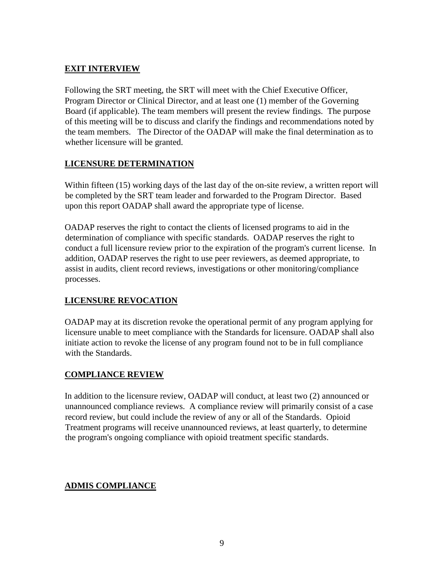# **EXIT INTERVIEW**

Following the SRT meeting, the SRT will meet with the Chief Executive Officer, Program Director or Clinical Director, and at least one (1) member of the Governing Board (if applicable). The team members will present the review findings. The purpose of this meeting will be to discuss and clarify the findings and recommendations noted by the team members. The Director of the OADAP will make the final determination as to whether licensure will be granted.

# **LICENSURE DETERMINATION**

Within fifteen (15) working days of the last day of the on-site review, a written report will be completed by the SRT team leader and forwarded to the Program Director. Based upon this report OADAP shall award the appropriate type of license.

OADAP reserves the right to contact the clients of licensed programs to aid in the determination of compliance with specific standards. OADAP reserves the right to conduct a full licensure review prior to the expiration of the program's current license. In addition, OADAP reserves the right to use peer reviewers, as deemed appropriate, to assist in audits, client record reviews, investigations or other monitoring/compliance processes.

# **LICENSURE REVOCATION**

OADAP may at its discretion revoke the operational permit of any program applying for licensure unable to meet compliance with the Standards for licensure. OADAP shall also initiate action to revoke the license of any program found not to be in full compliance with the Standards.

# **COMPLIANCE REVIEW**

In addition to the licensure review, OADAP will conduct, at least two (2) announced or unannounced compliance reviews. A compliance review will primarily consist of a case record review, but could include the review of any or all of the Standards. Opioid Treatment programs will receive unannounced reviews, at least quarterly, to determine the program's ongoing compliance with opioid treatment specific standards.

# **ADMIS COMPLIANCE**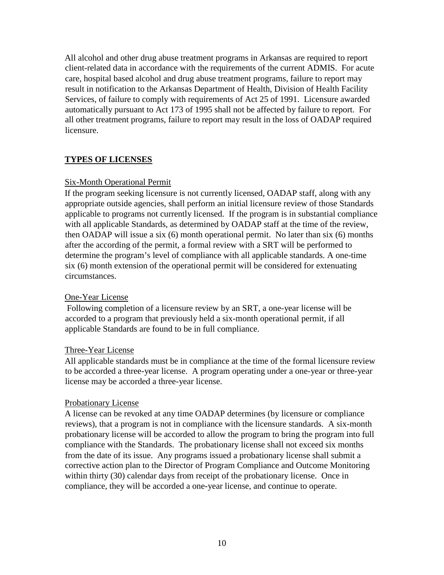All alcohol and other drug abuse treatment programs in Arkansas are required to report client-related data in accordance with the requirements of the current ADMIS. For acute care, hospital based alcohol and drug abuse treatment programs, failure to report may result in notification to the Arkansas Department of Health, Division of Health Facility Services, of failure to comply with requirements of Act 25 of 1991. Licensure awarded automatically pursuant to Act 173 of 1995 shall not be affected by failure to report. For all other treatment programs, failure to report may result in the loss of OADAP required licensure.

#### **TYPES OF LICENSES**

#### Six-Month Operational Permit

If the program seeking licensure is not currently licensed, OADAP staff, along with any appropriate outside agencies, shall perform an initial licensure review of those Standards applicable to programs not currently licensed. If the program is in substantial compliance with all applicable Standards, as determined by OADAP staff at the time of the review, then OADAP will issue a six (6) month operational permit. No later than six (6) months after the according of the permit, a formal review with a SRT will be performed to determine the program's level of compliance with all applicable standards. A one-time six (6) month extension of the operational permit will be considered for extenuating circumstances.

#### One-Year License

Following completion of a licensure review by an SRT, a one-year license will be accorded to a program that previously held a six-month operational permit, if all applicable Standards are found to be in full compliance.

#### Three-Year License

All applicable standards must be in compliance at the time of the formal licensure review to be accorded a three-year license. A program operating under a one-year or three-year license may be accorded a three-year license.

#### Probationary License

A license can be revoked at any time OADAP determines (by licensure or compliance reviews), that a program is not in compliance with the licensure standards. A six-month probationary license will be accorded to allow the program to bring the program into full compliance with the Standards. The probationary license shall not exceed six months from the date of its issue. Any programs issued a probationary license shall submit a corrective action plan to the Director of Program Compliance and Outcome Monitoring within thirty (30) calendar days from receipt of the probationary license. Once in compliance, they will be accorded a one-year license, and continue to operate.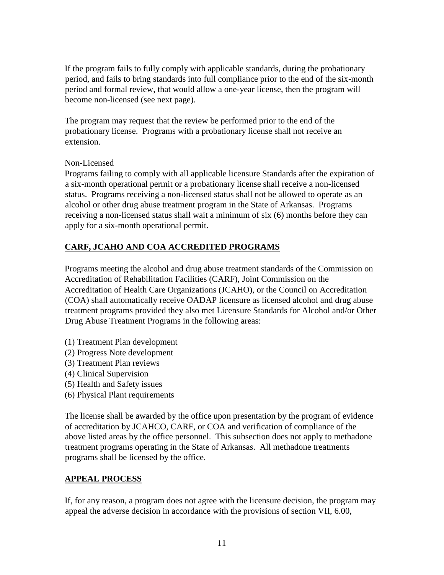If the program fails to fully comply with applicable standards, during the probationary period, and fails to bring standards into full compliance prior to the end of the six-month period and formal review, that would allow a one-year license, then the program will become non-licensed (see next page).

The program may request that the review be performed prior to the end of the probationary license. Programs with a probationary license shall not receive an extension.

#### Non-Licensed

Programs failing to comply with all applicable licensure Standards after the expiration of a six-month operational permit or a probationary license shall receive a non-licensed status. Programs receiving a non-licensed status shall not be allowed to operate as an alcohol or other drug abuse treatment program in the State of Arkansas. Programs receiving a non-licensed status shall wait a minimum of six (6) months before they can apply for a six-month operational permit.

### **CARF, JCAHO AND COA ACCREDITED PROGRAMS**

Programs meeting the alcohol and drug abuse treatment standards of the Commission on Accreditation of Rehabilitation Facilities (CARF), Joint Commission on the Accreditation of Health Care Organizations (JCAHO), or the Council on Accreditation (COA) shall automatically receive OADAP licensure as licensed alcohol and drug abuse treatment programs provided they also met Licensure Standards for Alcohol and/or Other Drug Abuse Treatment Programs in the following areas:

- (1) Treatment Plan development
- (2) Progress Note development
- (3) Treatment Plan reviews
- (4) Clinical Supervision
- (5) Health and Safety issues
- (6) Physical Plant requirements

The license shall be awarded by the office upon presentation by the program of evidence of accreditation by JCAHCO, CARF, or COA and verification of compliance of the above listed areas by the office personnel. This subsection does not apply to methadone treatment programs operating in the State of Arkansas. All methadone treatments programs shall be licensed by the office.

#### **APPEAL PROCESS**

If, for any reason, a program does not agree with the licensure decision, the program may appeal the adverse decision in accordance with the provisions of section VII, 6.00,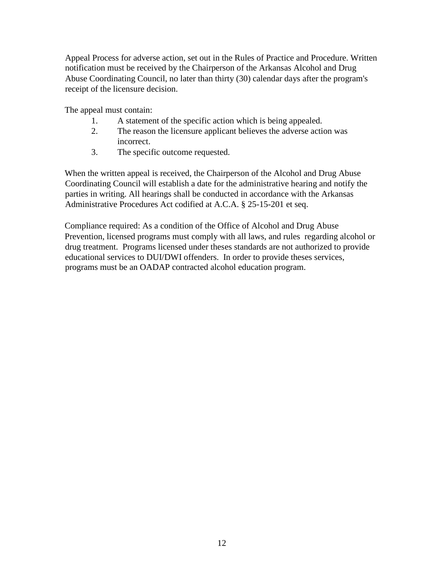Appeal Process for adverse action, set out in the Rules of Practice and Procedure. Written notification must be received by the Chairperson of the Arkansas Alcohol and Drug Abuse Coordinating Council, no later than thirty (30) calendar days after the program's receipt of the licensure decision.

The appeal must contain:

- 1. A statement of the specific action which is being appealed.
- 2. The reason the licensure applicant believes the adverse action was incorrect.
- 3. The specific outcome requested.

When the written appeal is received, the Chairperson of the Alcohol and Drug Abuse Coordinating Council will establish a date for the administrative hearing and notify the parties in writing. All hearings shall be conducted in accordance with the Arkansas Administrative Procedures Act codified at A.C.A. § 25-15-201 et seq.

Compliance required: As a condition of the Office of Alcohol and Drug Abuse Prevention, licensed programs must comply with all laws, and rules regarding alcohol or drug treatment. Programs licensed under theses standards are not authorized to provide educational services to DUI/DWI offenders. In order to provide theses services, programs must be an OADAP contracted alcohol education program.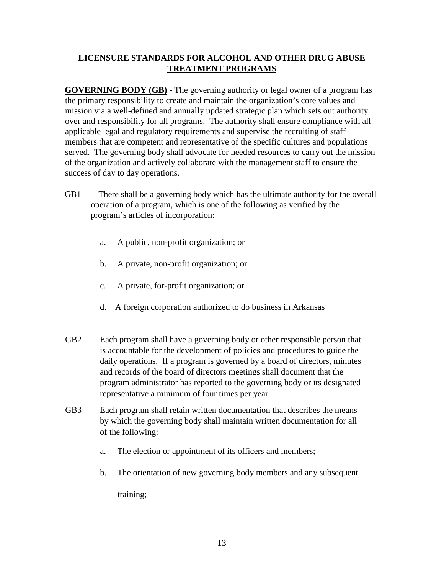# **LICENSURE STANDARDS FOR ALCOHOL AND OTHER DRUG ABUSE TREATMENT PROGRAMS**

**GOVERNING BODY (GB)** - The governing authority or legal owner of a program has the primary responsibility to create and maintain the organization's core values and mission via a well-defined and annually updated strategic plan which sets out authority over and responsibility for all programs. The authority shall ensure compliance with all applicable legal and regulatory requirements and supervise the recruiting of staff members that are competent and representative of the specific cultures and populations served. The governing body shall advocate for needed resources to carry out the mission of the organization and actively collaborate with the management staff to ensure the success of day to day operations.

- GB1 There shall be a governing body which has the ultimate authority for the overall operation of a program, which is one of the following as verified by the program's articles of incorporation:
	- a. A public, non-profit organization; or
	- b. A private, non-profit organization; or
	- c. A private, for-profit organization; or
	- d. A foreign corporation authorized to do business in Arkansas
- GB2 Each program shall have a governing body or other responsible person that is accountable for the development of policies and procedures to guide the daily operations. If a program is governed by a board of directors, minutes and records of the board of directors meetings shall document that the program administrator has reported to the governing body or its designated representative a minimum of four times per year.
- GB3 Each program shall retain written documentation that describes the means by which the governing body shall maintain written documentation for all of the following:
	- a. The election or appointment of its officers and members;
	- b. The orientation of new governing body members and any subsequent

training;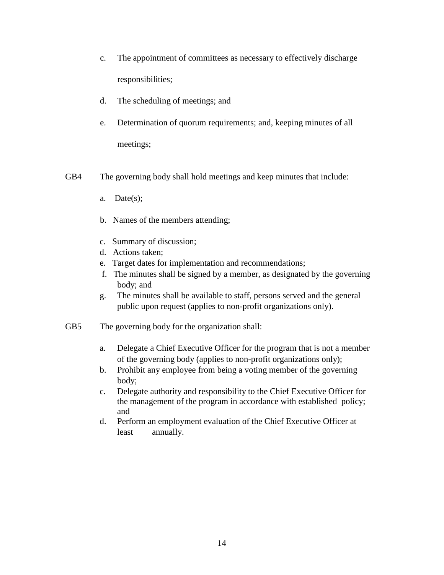- c. The appointment of committees as necessary to effectively discharge responsibilities;
- d. The scheduling of meetings; and
- e. Determination of quorum requirements; and, keeping minutes of all meetings;
- GB4 The governing body shall hold meetings and keep minutes that include:
	- a. Date(s);
	- b. Names of the members attending;
	- c. Summary of discussion;
	- d. Actions taken;
	- e. Target dates for implementation and recommendations;
	- f. The minutes shall be signed by a member, as designated by the governing body; and
	- g. The minutes shall be available to staff, persons served and the general public upon request (applies to non-profit organizations only).
- GB5 The governing body for the organization shall:
	- a. Delegate a Chief Executive Officer for the program that is not a member of the governing body (applies to non-profit organizations only);
	- b. Prohibit any employee from being a voting member of the governing body;
	- c. Delegate authority and responsibility to the Chief Executive Officer for the management of the program in accordance with established policy; and
	- d. Perform an employment evaluation of the Chief Executive Officer at least annually.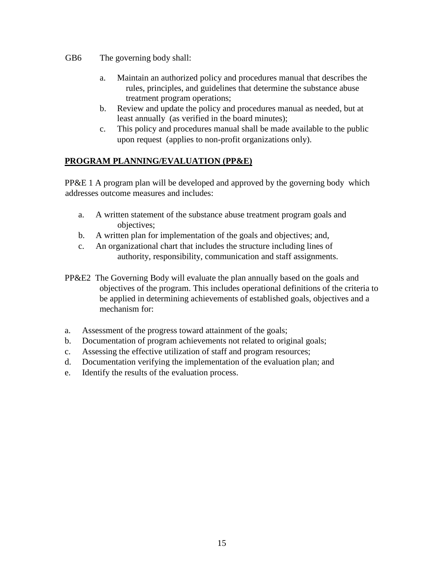GB6 The governing body shall:

- a. Maintain an authorized policy and procedures manual that describes the rules, principles, and guidelines that determine the substance abuse treatment program operations;
- b. Review and update the policy and procedures manual as needed, but at least annually (as verified in the board minutes);
- c. This policy and procedures manual shall be made available to the public upon request (applies to non-profit organizations only).

# **PROGRAM PLANNING/EVALUATION (PP&E)**

PP&E 1 A program plan will be developed and approved by the governing body which addresses outcome measures and includes:

- a. A written statement of the substance abuse treatment program goals and objectives;
- b. A written plan for implementation of the goals and objectives; and,
- c. An organizational chart that includes the structure including lines of authority, responsibility, communication and staff assignments.
- PP&E2 The Governing Body will evaluate the plan annually based on the goals and objectives of the program. This includes operational definitions of the criteria to be applied in determining achievements of established goals, objectives and a mechanism for:
- a. Assessment of the progress toward attainment of the goals;
- b. Documentation of program achievements not related to original goals;
- c. Assessing the effective utilization of staff and program resources;
- d. Documentation verifying the implementation of the evaluation plan; and
- e. Identify the results of the evaluation process.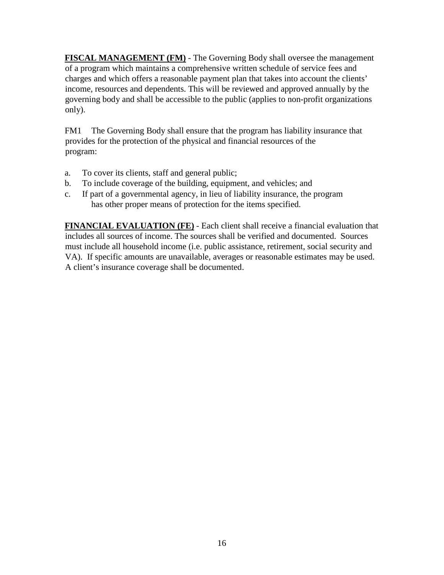**FISCAL MANAGEMENT (FM)** - The Governing Body shall oversee the management of a program which maintains a comprehensive written schedule of service fees and charges and which offers a reasonable payment plan that takes into account the clients' income, resources and dependents. This will be reviewed and approved annually by the governing body and shall be accessible to the public (applies to non-profit organizations only).

FM1 The Governing Body shall ensure that the program has liability insurance that provides for the protection of the physical and financial resources of the program:

- a. To cover its clients, staff and general public;
- b. To include coverage of the building, equipment, and vehicles; and
- c. If part of a governmental agency, in lieu of liability insurance, the program has other proper means of protection for the items specified.

**FINANCIAL EVALUATION (FE)** - Each client shall receive a financial evaluation that includes all sources of income. The sources shall be verified and documented. Sources must include all household income (i.e. public assistance, retirement, social security and VA). If specific amounts are unavailable, averages or reasonable estimates may be used. A client's insurance coverage shall be documented.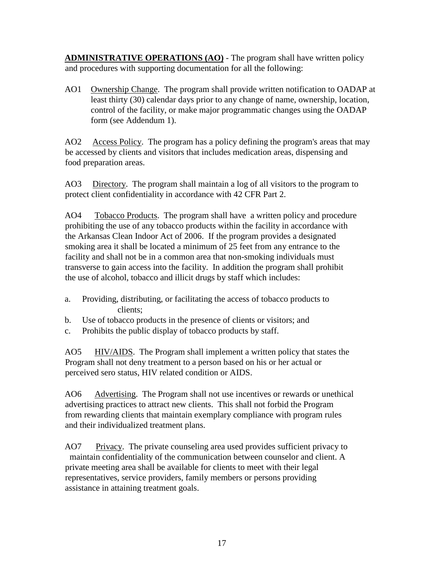**ADMINISTRATIVE OPERATIONS (AO)** - The program shall have written policy and procedures with supporting documentation for all the following:

AO1 Ownership Change. The program shall provide written notification to OADAP at least thirty (30) calendar days prior to any change of name, ownership, location, control of the facility, or make major programmatic changes using the OADAP form (see Addendum 1).

AO2 Access Policy. The program has a policy defining the program's areas that may be accessed by clients and visitors that includes medication areas, dispensing and food preparation areas.

AO3 Directory. The program shall maintain a log of all visitors to the program to protect client confidentiality in accordance with 42 CFR Part 2.

AO4 Tobacco Products. The program shall have a written policy and procedure prohibiting the use of any tobacco products within the facility in accordance with the Arkansas Clean Indoor Act of 2006. If the program provides a designated smoking area it shall be located a minimum of 25 feet from any entrance to the facility and shall not be in a common area that non-smoking individuals must transverse to gain access into the facility. In addition the program shall prohibit the use of alcohol, tobacco and illicit drugs by staff which includes:

- a. Providing, distributing, or facilitating the access of tobacco products to clients;
- b. Use of tobacco products in the presence of clients or visitors; and
- c. Prohibits the public display of tobacco products by staff.

AO5 HIV/AIDS. The Program shall implement a written policy that states the Program shall not deny treatment to a person based on his or her actual or perceived sero status, HIV related condition or AIDS.

AO6 Advertising. The Program shall not use incentives or rewards or unethical advertising practices to attract new clients. This shall not forbid the Program from rewarding clients that maintain exemplary compliance with program rules and their individualized treatment plans.

AO7 Privacy. The private counseling area used provides sufficient privacy to maintain confidentiality of the communication between counselor and client. A private meeting area shall be available for clients to meet with their legal representatives, service providers, family members or persons providing assistance in attaining treatment goals.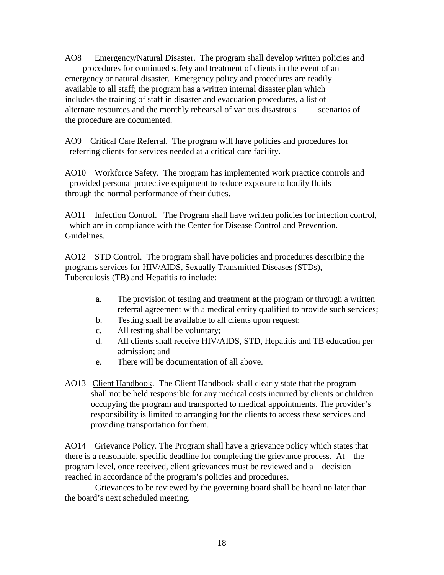AO8 Emergency/Natural Disaster. The program shall develop written policies and procedures for continued safety and treatment of clients in the event of an emergency or natural disaster. Emergency policy and procedures are readily available to all staff; the program has a written internal disaster plan which includes the training of staff in disaster and evacuation procedures, a list of alternate resources and the monthly rehearsal of various disastrous scenarios of the procedure are documented.

AO9 Critical Care Referral. The program will have policies and procedures for referring clients for services needed at a critical care facility.

AO10 Workforce Safety. The program has implemented work practice controls and provided personal protective equipment to reduce exposure to bodily fluids through the normal performance of their duties.

AO11 Infection Control. The Program shall have written policies for infection control, which are in compliance with the Center for Disease Control and Prevention. Guidelines.

AO12 STD Control. The program shall have policies and procedures describing the programs services for HIV/AIDS, Sexually Transmitted Diseases (STDs), Tuberculosis (TB) and Hepatitis to include:

- a. The provision of testing and treatment at the program or through a written referral agreement with a medical entity qualified to provide such services;
- b. Testing shall be available to all clients upon request;
- c. All testing shall be voluntary;
- d. All clients shall receive HIV/AIDS, STD, Hepatitis and TB education per admission; and
- e. There will be documentation of all above.
- AO13 Client Handbook. The Client Handbook shall clearly state that the program shall not be held responsible for any medical costs incurred by clients or children occupying the program and transported to medical appointments. The provider's responsibility is limited to arranging for the clients to access these services and providing transportation for them.

AO14 Grievance Policy. The Program shall have a grievance policy which states that there is a reasonable, specific deadline for completing the grievance process. At the program level, once received, client grievances must be reviewed and a decision reached in accordance of the program's policies and procedures.

 Grievances to be reviewed by the governing board shall be heard no later than the board's next scheduled meeting.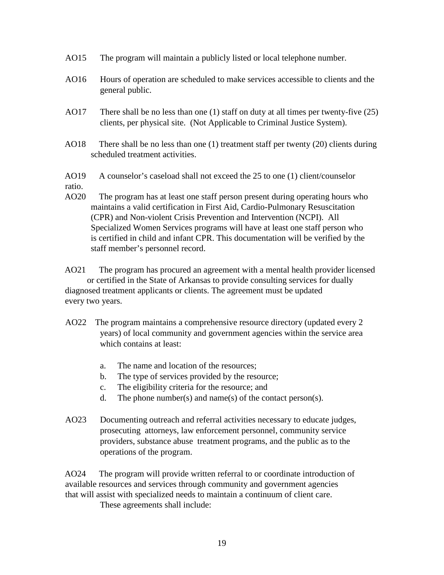- AO15 The program will maintain a publicly listed or local telephone number.
- AO16 Hours of operation are scheduled to make services accessible to clients and the general public.
- AO17 There shall be no less than one (1) staff on duty at all times per twenty-five (25) clients, per physical site. (Not Applicable to Criminal Justice System).
- AO18 There shall be no less than one (1) treatment staff per twenty (20) clients during scheduled treatment activities.

AO19 A counselor's caseload shall not exceed the 25 to one (1) client/counselor ratio.

AO20 The program has at least one staff person present during operating hours who maintains a valid certification in First Aid, Cardio-Pulmonary Resuscitation (CPR) and Non-violent Crisis Prevention and Intervention (NCPI). All Specialized Women Services programs will have at least one staff person who is certified in child and infant CPR. This documentation will be verified by the staff member's personnel record.

AO21 The program has procured an agreement with a mental health provider licensed or certified in the State of Arkansas to provide consulting services for dually diagnosed treatment applicants or clients. The agreement must be updated every two years.

- AO22 The program maintains a comprehensive resource directory (updated every 2 years) of local community and government agencies within the service area which contains at least:
	- a. The name and location of the resources;
	- b. The type of services provided by the resource;
	- c. The eligibility criteria for the resource; and
	- d. The phone number(s) and name(s) of the contact person(s).
- AO23 Documenting outreach and referral activities necessary to educate judges, prosecuting attorneys, law enforcement personnel, community service providers, substance abuse treatment programs, and the public as to the operations of the program.

AO24 The program will provide written referral to or coordinate introduction of available resources and services through community and government agencies that will assist with specialized needs to maintain a continuum of client care.

These agreements shall include: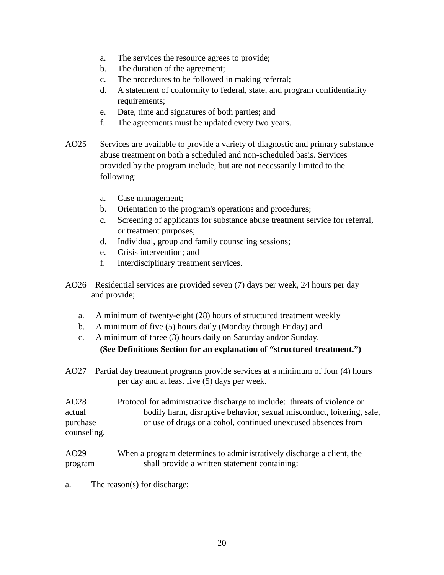- a. The services the resource agrees to provide;
- b. The duration of the agreement;
- c. The procedures to be followed in making referral;
- d. A statement of conformity to federal, state, and program confidentiality requirements;
- e. Date, time and signatures of both parties; and
- f. The agreements must be updated every two years.
- AO25 Services are available to provide a variety of diagnostic and primary substance abuse treatment on both a scheduled and non-scheduled basis. Services provided by the program include, but are not necessarily limited to the following:
	- a. Case management;
	- b. Orientation to the program's operations and procedures;
	- c. Screening of applicants for substance abuse treatment service for referral, or treatment purposes;
	- d. Individual, group and family counseling sessions;
	- e. Crisis intervention; and
	- f. Interdisciplinary treatment services.
- AO26 Residential services are provided seven (7) days per week, 24 hours per day and provide;
	- a. A minimum of twenty-eight (28) hours of structured treatment weekly
	- b. A minimum of five (5) hours daily (Monday through Friday) and
	- c. A minimum of three (3) hours daily on Saturday and/or Sunday. **(See Definitions Section for an explanation of "structured treatment.")**
- AO27 Partial day treatment programs provide services at a minimum of four (4) hours per day and at least five (5) days per week.

AO28 Protocol for administrative discharge to include: threats of violence or actual bodily harm, disruptive behavior, sexual misconduct, loitering, sale, purchase or use of drugs or alcohol, continued unexcused absences from counseling.

#### AO29 When a program determines to administratively discharge a client, the program shall provide a written statement containing:

a. The reason(s) for discharge;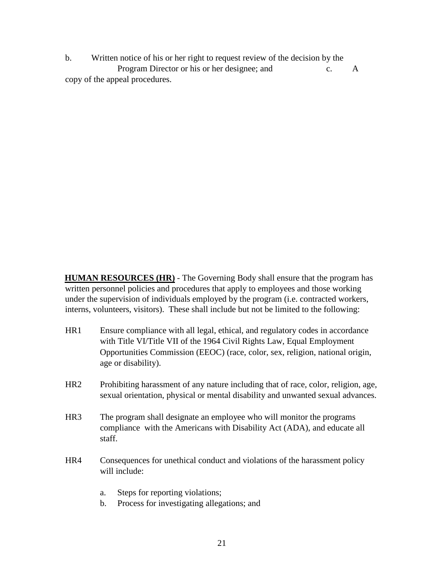b. Written notice of his or her right to request review of the decision by the Program Director or his or her designee; and c. A copy of the appeal procedures.

**HUMAN RESOURCES (HR)** - The Governing Body shall ensure that the program has written personnel policies and procedures that apply to employees and those working under the supervision of individuals employed by the program (i.e. contracted workers, interns, volunteers, visitors). These shall include but not be limited to the following:

- HR1 Ensure compliance with all legal, ethical, and regulatory codes in accordance with Title VI/Title VII of the 1964 Civil Rights Law, Equal Employment Opportunities Commission (EEOC) (race, color, sex, religion, national origin, age or disability).
- HR2 Prohibiting harassment of any nature including that of race, color, religion, age, sexual orientation, physical or mental disability and unwanted sexual advances.
- HR3 The program shall designate an employee who will monitor the programs compliance with the Americans with Disability Act (ADA), and educate all staff.
- HR4 Consequences for unethical conduct and violations of the harassment policy will include:
	- a. Steps for reporting violations;
	- b. Process for investigating allegations; and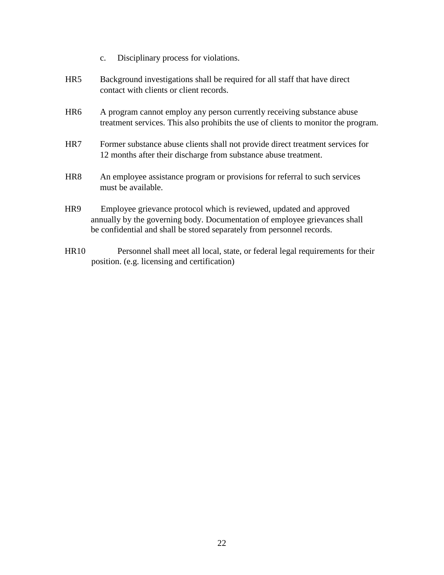- c. Disciplinary process for violations.
- HR5 Background investigations shall be required for all staff that have direct contact with clients or client records.
- HR6 A program cannot employ any person currently receiving substance abuse treatment services. This also prohibits the use of clients to monitor the program.
- HR7 Former substance abuse clients shall not provide direct treatment services for 12 months after their discharge from substance abuse treatment.
- HR8 An employee assistance program or provisions for referral to such services must be available.
- HR9 Employee grievance protocol which is reviewed, updated and approved annually by the governing body. Documentation of employee grievances shall be confidential and shall be stored separately from personnel records.
- HR10 Personnel shall meet all local, state, or federal legal requirements for their position. (e.g. licensing and certification)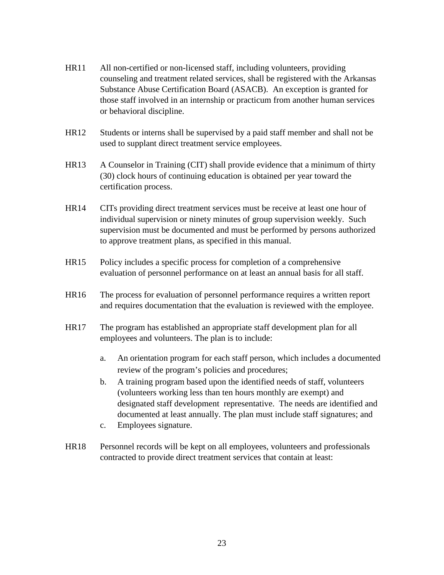- HR11 All non-certified or non-licensed staff, including volunteers, providing counseling and treatment related services, shall be registered with the Arkansas Substance Abuse Certification Board (ASACB). An exception is granted for those staff involved in an internship or practicum from another human services or behavioral discipline.
- HR12 Students or interns shall be supervised by a paid staff member and shall not be used to supplant direct treatment service employees.
- HR13 A Counselor in Training (CIT) shall provide evidence that a minimum of thirty (30) clock hours of continuing education is obtained per year toward the certification process.
- HR14 CITs providing direct treatment services must be receive at least one hour of individual supervision or ninety minutes of group supervision weekly. Such supervision must be documented and must be performed by persons authorized to approve treatment plans, as specified in this manual.
- HR15 Policy includes a specific process for completion of a comprehensive evaluation of personnel performance on at least an annual basis for all staff.
- HR16 The process for evaluation of personnel performance requires a written report and requires documentation that the evaluation is reviewed with the employee.
- HR17 The program has established an appropriate staff development plan for all employees and volunteers. The plan is to include:
	- a. An orientation program for each staff person, which includes a documented review of the program's policies and procedures;
	- b. A training program based upon the identified needs of staff, volunteers (volunteers working less than ten hours monthly are exempt) and designated staff development representative. The needs are identified and documented at least annually. The plan must include staff signatures; and
	- c. Employees signature.
- HR18 Personnel records will be kept on all employees, volunteers and professionals contracted to provide direct treatment services that contain at least: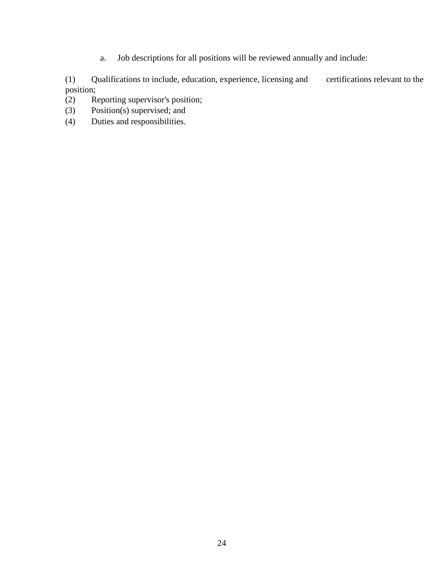a. Job descriptions for all positions will be reviewed annually and include:

(1) Qualifications to include, education, experience, licensing and certifications relevant to the position;<br>(2)  $R$ 

Reporting supervisor's position;

- (3) Position(s) supervised; and
- (4) Duties and responsibilities.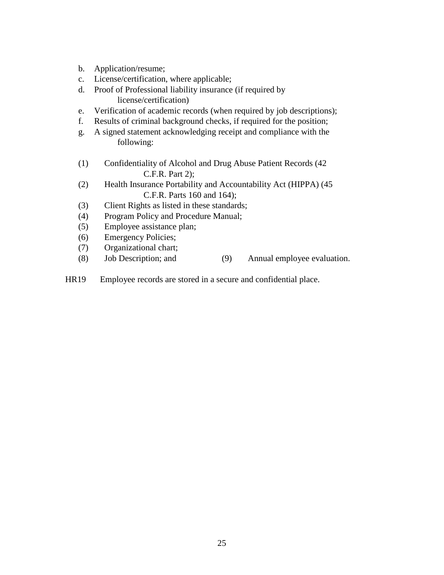- b. Application/resume;
- c. License/certification, where applicable;
- d. Proof of Professional liability insurance (if required by license/certification)
- e. Verification of academic records (when required by job descriptions);
- f. Results of criminal background checks, if required for the position;
- g. A signed statement acknowledging receipt and compliance with the following:
- (1) Confidentiality of Alcohol and Drug Abuse Patient Records (42 C.F.R. Part 2);
- (2) Health Insurance Portability and Accountability Act (HIPPA) (45 C.F.R. Parts 160 and 164);
- (3) Client Rights as listed in these standards;
- (4) Program Policy and Procedure Manual;
- (5) Employee assistance plan;
- (6) Emergency Policies;
- (7) Organizational chart;
- (8) Job Description; and (9) Annual employee evaluation.
- HR19 Employee records are stored in a secure and confidential place.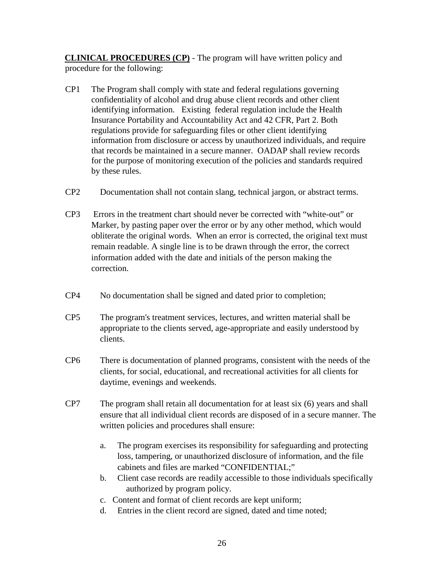**CLINICAL PROCEDURES (CP)** - The program will have written policy and procedure for the following:

- CP1 The Program shall comply with state and federal regulations governing confidentiality of alcohol and drug abuse client records and other client identifying information. Existing federal regulation include the Health Insurance Portability and Accountability Act and 42 CFR, Part 2. Both regulations provide for safeguarding files or other client identifying information from disclosure or access by unauthorized individuals, and require that records be maintained in a secure manner. OADAP shall review records for the purpose of monitoring execution of the policies and standards required by these rules.
- CP2 Documentation shall not contain slang, technical jargon, or abstract terms.
- CP3 Errors in the treatment chart should never be corrected with "white-out" or Marker, by pasting paper over the error or by any other method, which would obliterate the original words. When an error is corrected, the original text must remain readable. A single line is to be drawn through the error, the correct information added with the date and initials of the person making the correction.
- CP4 No documentation shall be signed and dated prior to completion;
- CP5 The program's treatment services, lectures, and written material shall be appropriate to the clients served, age-appropriate and easily understood by clients.
- CP6 There is documentation of planned programs, consistent with the needs of the clients, for social, educational, and recreational activities for all clients for daytime, evenings and weekends.
- CP7 The program shall retain all documentation for at least six (6) years and shall ensure that all individual client records are disposed of in a secure manner. The written policies and procedures shall ensure:
	- a. The program exercises its responsibility for safeguarding and protecting loss, tampering, or unauthorized disclosure of information, and the file cabinets and files are marked "CONFIDENTIAL;"
	- b. Client case records are readily accessible to those individuals specifically authorized by program policy.
	- c. Content and format of client records are kept uniform;
	- d. Entries in the client record are signed, dated and time noted;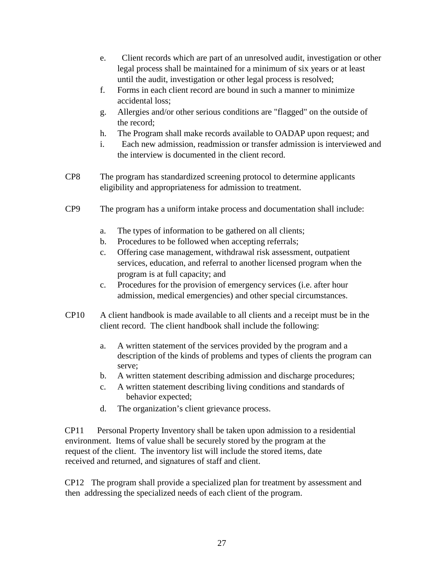- e. Client records which are part of an unresolved audit, investigation or other legal process shall be maintained for a minimum of six years or at least until the audit, investigation or other legal process is resolved;
- f. Forms in each client record are bound in such a manner to minimize accidental loss;
- g. Allergies and/or other serious conditions are "flagged" on the outside of the record;
- h. The Program shall make records available to OADAP upon request; and
- i. Each new admission, readmission or transfer admission is interviewed and the interview is documented in the client record.
- CP8 The program has standardized screening protocol to determine applicants eligibility and appropriateness for admission to treatment.
- CP9 The program has a uniform intake process and documentation shall include:
	- a. The types of information to be gathered on all clients;
	- b. Procedures to be followed when accepting referrals;
	- c. Offering case management, withdrawal risk assessment, outpatient services, education, and referral to another licensed program when the program is at full capacity; and
	- c. Procedures for the provision of emergency services (i.e. after hour admission, medical emergencies) and other special circumstances.
- CP10 A client handbook is made available to all clients and a receipt must be in the client record. The client handbook shall include the following:
	- a. A written statement of the services provided by the program and a description of the kinds of problems and types of clients the program can serve;
	- b. A written statement describing admission and discharge procedures;
	- c. A written statement describing living conditions and standards of behavior expected;
	- d. The organization's client grievance process.

CP11 Personal Property Inventory shall be taken upon admission to a residential environment. Items of value shall be securely stored by the program at the request of the client. The inventory list will include the stored items, date received and returned, and signatures of staff and client.

CP12 The program shall provide a specialized plan for treatment by assessment and then addressing the specialized needs of each client of the program.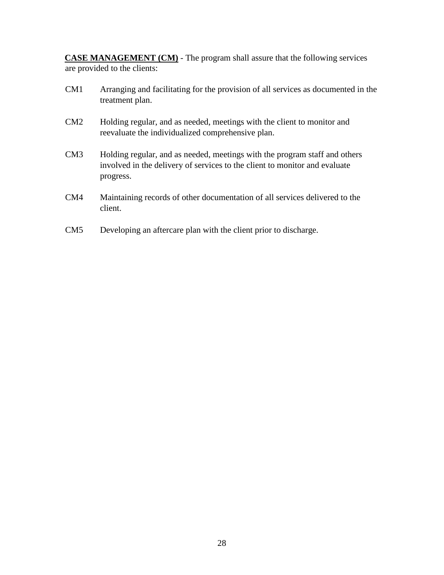**CASE MANAGEMENT (CM)** - The program shall assure that the following services are provided to the clients:

- CM1 Arranging and facilitating for the provision of all services as documented in the treatment plan.
- CM2 Holding regular, and as needed, meetings with the client to monitor and reevaluate the individualized comprehensive plan.
- CM3 Holding regular, and as needed, meetings with the program staff and others involved in the delivery of services to the client to monitor and evaluate progress.
- CM4 Maintaining records of other documentation of all services delivered to the client.
- CM5 Developing an aftercare plan with the client prior to discharge.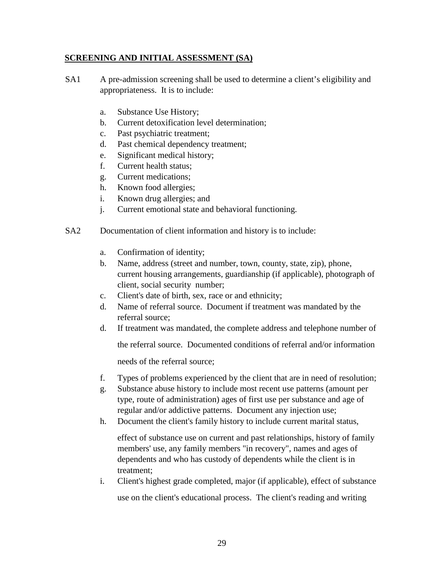#### **SCREENING AND INITIAL ASSESSMENT (SA)**

- SA1 A pre-admission screening shall be used to determine a client's eligibility and appropriateness. It is to include:
	- a. Substance Use History;
	- b. Current detoxification level determination;
	- c. Past psychiatric treatment;
	- d. Past chemical dependency treatment;
	- e. Significant medical history;
	- f. Current health status;
	- g. Current medications;
	- h. Known food allergies;
	- i. Known drug allergies; and
	- j. Current emotional state and behavioral functioning.
- SA2 Documentation of client information and history is to include:
	- a. Confirmation of identity;
	- b. Name, address (street and number, town, county, state, zip), phone, current housing arrangements, guardianship (if applicable), photograph of client, social security number;
	- c. Client's date of birth, sex, race or and ethnicity;
	- d. Name of referral source. Document if treatment was mandated by the referral source;
	- d. If treatment was mandated, the complete address and telephone number of

the referral source. Documented conditions of referral and/or information

needs of the referral source;

- f. Types of problems experienced by the client that are in need of resolution;
- g. Substance abuse history to include most recent use patterns (amount per type, route of administration) ages of first use per substance and age of regular and/or addictive patterns. Document any injection use;
- h. Document the client's family history to include current marital status,

effect of substance use on current and past relationships, history of family members' use, any family members "in recovery", names and ages of dependents and who has custody of dependents while the client is in treatment;

i. Client's highest grade completed, major (if applicable), effect of substance use on the client's educational process. The client's reading and writing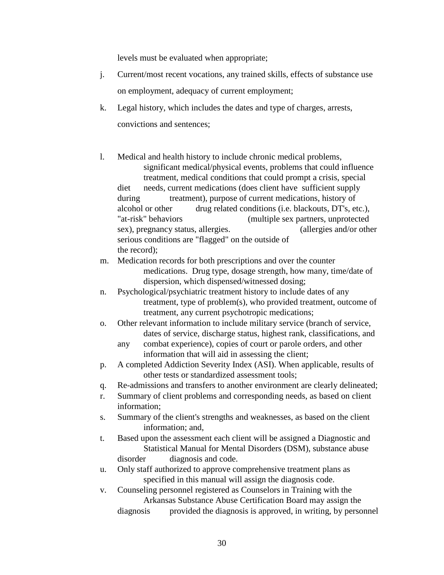levels must be evaluated when appropriate;

- j. Current/most recent vocations, any trained skills, effects of substance use on employment, adequacy of current employment;
- k. Legal history, which includes the dates and type of charges, arrests, convictions and sentences;
- l. Medical and health history to include chronic medical problems, significant medical/physical events, problems that could influence treatment, medical conditions that could prompt a crisis, special diet needs, current medications (does client have sufficient supply during treatment), purpose of current medications, history of alcohol or other drug related conditions (i.e. blackouts, DT's, etc.), "at-risk" behaviors (multiple sex partners, unprotected sex), pregnancy status, allergies. (allergies and/or other serious conditions are "flagged" on the outside of the record);
- m. Medication records for both prescriptions and over the counter medications. Drug type, dosage strength, how many, time/date of dispersion, which dispensed/witnessed dosing;
- n. Psychological/psychiatric treatment history to include dates of any treatment, type of problem(s), who provided treatment, outcome of treatment, any current psychotropic medications;
- o. Other relevant information to include military service (branch of service, dates of service, discharge status, highest rank, classifications, and
	- any combat experience), copies of court or parole orders, and other information that will aid in assessing the client;
- p. A completed Addiction Severity Index (ASI). When applicable, results of other tests or standardized assessment tools;
- q. Re-admissions and transfers to another environment are clearly delineated;
- r. Summary of client problems and corresponding needs, as based on client information;
- s. Summary of the client's strengths and weaknesses, as based on the client information; and,
- t. Based upon the assessment each client will be assigned a Diagnostic and Statistical Manual for Mental Disorders (DSM), substance abuse disorder diagnosis and code.
- u. Only staff authorized to approve comprehensive treatment plans as specified in this manual will assign the diagnosis code.
- v. Counseling personnel registered as Counselors in Training with the Arkansas Substance Abuse Certification Board may assign the diagnosis provided the diagnosis is approved, in writing, by personnel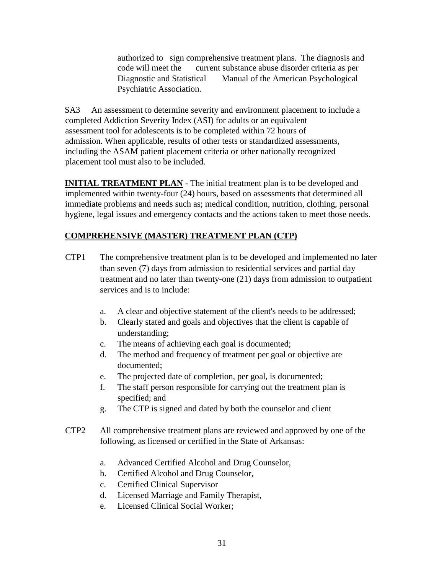authorized to sign comprehensive treatment plans. The diagnosis and code will meet the current substance abuse disorder criteria as per Diagnostic and Statistical Manual of the American Psychological Psychiatric Association.

SA3 An assessment to determine severity and environment placement to include a completed Addiction Severity Index (ASI) for adults or an equivalent assessment tool for adolescents is to be completed within 72 hours of admission. When applicable, results of other tests or standardized assessments, including the ASAM patient placement criteria or other nationally recognized placement tool must also to be included.

**INITIAL TREATMENT PLAN** - The initial treatment plan is to be developed and implemented within twenty-four (24) hours, based on assessments that determined all immediate problems and needs such as; medical condition, nutrition, clothing, personal hygiene, legal issues and emergency contacts and the actions taken to meet those needs.

# **COMPREHENSIVE (MASTER) TREATMENT PLAN (CTP)**

- CTP1 The comprehensive treatment plan is to be developed and implemented no later than seven (7) days from admission to residential services and partial day treatment and no later than twenty-one (21) days from admission to outpatient services and is to include:
	- a. A clear and objective statement of the client's needs to be addressed;
	- b. Clearly stated and goals and objectives that the client is capable of understanding;
	- c. The means of achieving each goal is documented;
	- d. The method and frequency of treatment per goal or objective are documented;
	- e. The projected date of completion, per goal, is documented;
	- f. The staff person responsible for carrying out the treatment plan is specified; and
	- g. The CTP is signed and dated by both the counselor and client
- CTP2 All comprehensive treatment plans are reviewed and approved by one of the following, as licensed or certified in the State of Arkansas:
	- a. Advanced Certified Alcohol and Drug Counselor,
	- b. Certified Alcohol and Drug Counselor,
	- c. Certified Clinical Supervisor
	- d. Licensed Marriage and Family Therapist,
	- e. Licensed Clinical Social Worker;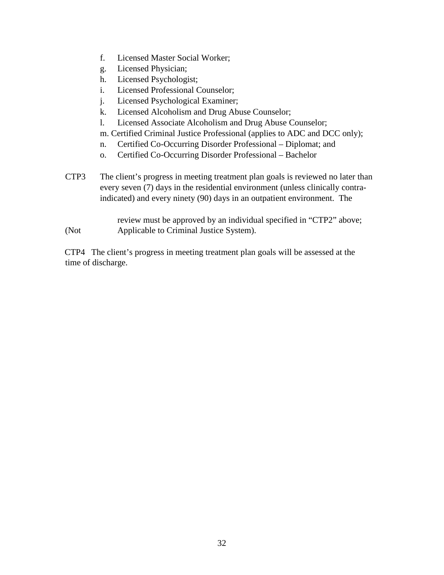- f. Licensed Master Social Worker;
- g. Licensed Physician;
- h. Licensed Psychologist;
- i. Licensed Professional Counselor;
- j. Licensed Psychological Examiner;
- k. Licensed Alcoholism and Drug Abuse Counselor;
- l. Licensed Associate Alcoholism and Drug Abuse Counselor;
- m. Certified Criminal Justice Professional (applies to ADC and DCC only);
- n. Certified Co-Occurring Disorder Professional Diplomat; and
- o. Certified Co-Occurring Disorder Professional Bachelor
- CTP3 The client's progress in meeting treatment plan goals is reviewed no later than every seven (7) days in the residential environment (unless clinically contraindicated) and every ninety (90) days in an outpatient environment. The

review must be approved by an individual specified in "CTP2" above; (Not Applicable to Criminal Justice System).

CTP4 The client's progress in meeting treatment plan goals will be assessed at the time of discharge.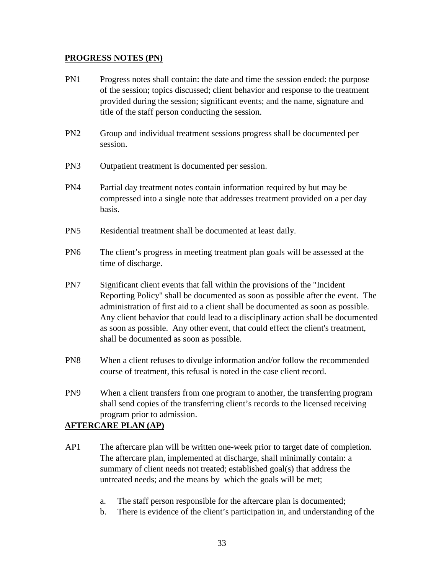#### **PROGRESS NOTES (PN)**

- PN1 Progress notes shall contain: the date and time the session ended: the purpose of the session; topics discussed; client behavior and response to the treatment provided during the session; significant events; and the name, signature and title of the staff person conducting the session.
- PN2 Group and individual treatment sessions progress shall be documented per session.
- PN3 Outpatient treatment is documented per session.
- PN4 Partial day treatment notes contain information required by but may be compressed into a single note that addresses treatment provided on a per day basis.
- PN5 Residential treatment shall be documented at least daily.
- PN6 The client's progress in meeting treatment plan goals will be assessed at the time of discharge.
- PN7 Significant client events that fall within the provisions of the "Incident Reporting Policy" shall be documented as soon as possible after the event. The administration of first aid to a client shall be documented as soon as possible. Any client behavior that could lead to a disciplinary action shall be documented as soon as possible. Any other event, that could effect the client's treatment, shall be documented as soon as possible.
- PN8 When a client refuses to divulge information and/or follow the recommended course of treatment, this refusal is noted in the case client record.
- PN9 When a client transfers from one program to another, the transferring program shall send copies of the transferring client's records to the licensed receiving program prior to admission.

# **AFTERCARE PLAN (AP)**

- AP1 The aftercare plan will be written one-week prior to target date of completion. The aftercare plan, implemented at discharge, shall minimally contain: a summary of client needs not treated; established goal(s) that address the untreated needs; and the means by which the goals will be met;
	- a. The staff person responsible for the aftercare plan is documented;
	- b. There is evidence of the client's participation in, and understanding of the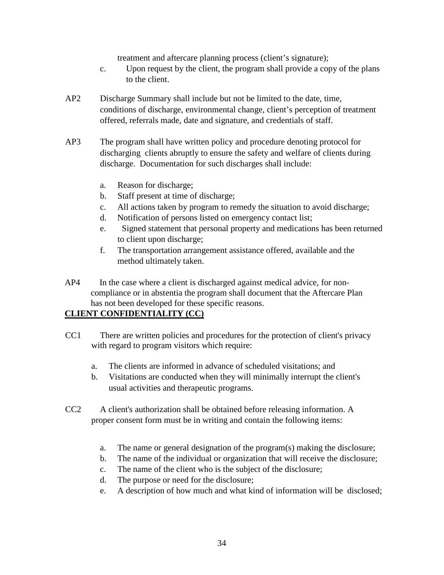treatment and aftercare planning process (client's signature);

- c. Upon request by the client, the program shall provide a copy of the plans to the client.
- AP2 Discharge Summary shall include but not be limited to the date, time, conditions of discharge, environmental change, client's perception of treatment offered, referrals made, date and signature, and credentials of staff.
- AP3 The program shall have written policy and procedure denoting protocol for discharging clients abruptly to ensure the safety and welfare of clients during discharge. Documentation for such discharges shall include:
	- a. Reason for discharge;
	- b. Staff present at time of discharge;
	- c. All actions taken by program to remedy the situation to avoid discharge;
	- d. Notification of persons listed on emergency contact list;
	- e. Signed statement that personal property and medications has been returned to client upon discharge;
	- f. The transportation arrangement assistance offered, available and the method ultimately taken.
- AP4 In the case where a client is discharged against medical advice, for noncompliance or in abstentia the program shall document that the Aftercare Plan has not been developed for these specific reasons.

# **CLIENT CONFIDENTIALITY (CC)**

- CC1 There are written policies and procedures for the protection of client's privacy with regard to program visitors which require:
	- a. The clients are informed in advance of scheduled visitations; and
	- b. Visitations are conducted when they will minimally interrupt the client's usual activities and therapeutic programs.
- CC2 A client's authorization shall be obtained before releasing information. A proper consent form must be in writing and contain the following items:
	- a. The name or general designation of the program(s) making the disclosure;
	- b. The name of the individual or organization that will receive the disclosure;
	- c. The name of the client who is the subject of the disclosure;
	- d. The purpose or need for the disclosure;
	- e. A description of how much and what kind of information will be disclosed;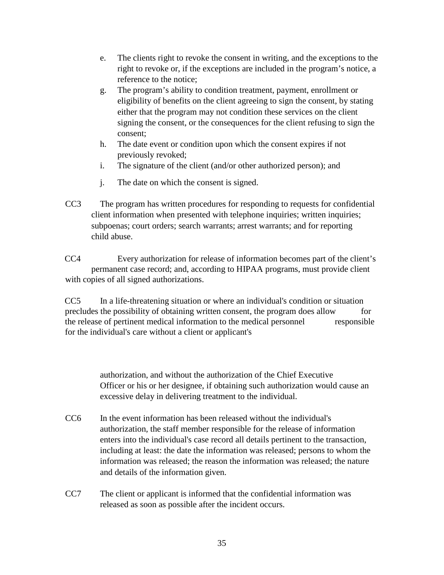- e. The clients right to revoke the consent in writing, and the exceptions to the right to revoke or, if the exceptions are included in the program's notice, a reference to the notice;
- g. The program's ability to condition treatment, payment, enrollment or eligibility of benefits on the client agreeing to sign the consent, by stating either that the program may not condition these services on the client signing the consent, or the consequences for the client refusing to sign the consent;
- h. The date event or condition upon which the consent expires if not previously revoked;
- i. The signature of the client (and/or other authorized person); and
- j. The date on which the consent is signed.
- CC3 The program has written procedures for responding to requests for confidential client information when presented with telephone inquiries; written inquiries; subpoenas; court orders; search warrants; arrest warrants; and for reporting child abuse.

CC4 Every authorization for release of information becomes part of the client's permanent case record; and, according to HIPAA programs, must provide client with copies of all signed authorizations.

CC5 In a life-threatening situation or where an individual's condition or situation precludes the possibility of obtaining written consent, the program does allow for the release of pertinent medical information to the medical personnel responsible for the individual's care without a client or applicant's

> authorization, and without the authorization of the Chief Executive Officer or his or her designee, if obtaining such authorization would cause an excessive delay in delivering treatment to the individual.

- CC6 In the event information has been released without the individual's authorization, the staff member responsible for the release of information enters into the individual's case record all details pertinent to the transaction, including at least: the date the information was released; persons to whom the information was released; the reason the information was released; the nature and details of the information given.
- CC7 The client or applicant is informed that the confidential information was released as soon as possible after the incident occurs.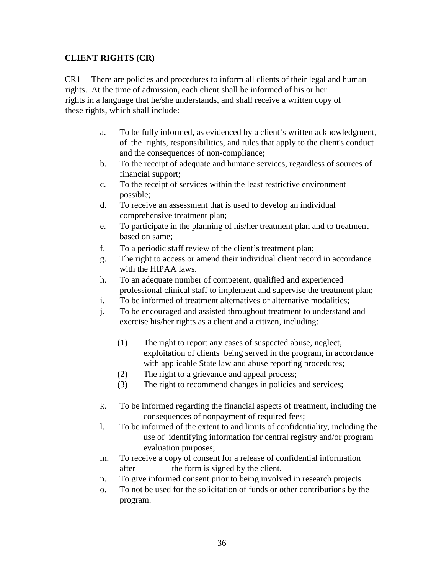#### **CLIENT RIGHTS (CR)**

CR1 There are policies and procedures to inform all clients of their legal and human rights. At the time of admission, each client shall be informed of his or her rights in a language that he/she understands, and shall receive a written copy of these rights, which shall include:

- a. To be fully informed, as evidenced by a client's written acknowledgment, of the rights, responsibilities, and rules that apply to the client's conduct and the consequences of non-compliance;
- b. To the receipt of adequate and humane services, regardless of sources of financial support;
- c. To the receipt of services within the least restrictive environment possible;
- d. To receive an assessment that is used to develop an individual comprehensive treatment plan;
- e. To participate in the planning of his/her treatment plan and to treatment based on same;
- f. To a periodic staff review of the client's treatment plan;
- g. The right to access or amend their individual client record in accordance with the HIPAA laws.
- h. To an adequate number of competent, qualified and experienced professional clinical staff to implement and supervise the treatment plan;
- i. To be informed of treatment alternatives or alternative modalities;
- j. To be encouraged and assisted throughout treatment to understand and exercise his/her rights as a client and a citizen, including:
	- (1) The right to report any cases of suspected abuse, neglect, exploitation of clients being served in the program, in accordance with applicable State law and abuse reporting procedures;
	- (2) The right to a grievance and appeal process;
	- (3) The right to recommend changes in policies and services;
- k. To be informed regarding the financial aspects of treatment, including the consequences of nonpayment of required fees;
- l. To be informed of the extent to and limits of confidentiality, including the use of identifying information for central registry and/or program evaluation purposes;
- m. To receive a copy of consent for a release of confidential information after the form is signed by the client.
- n. To give informed consent prior to being involved in research projects.
- o. To not be used for the solicitation of funds or other contributions by the program.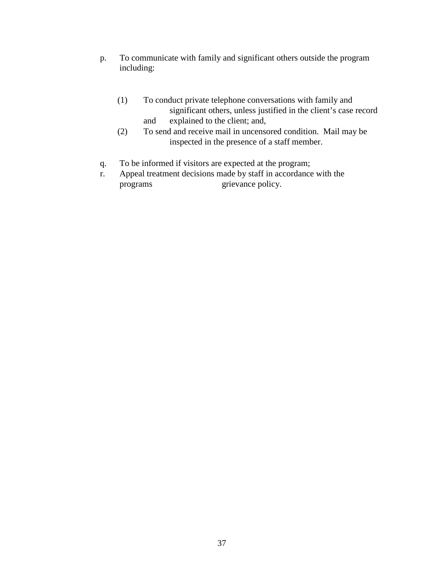- p. To communicate with family and significant others outside the program including:
	- (1) To conduct private telephone conversations with family and significant others, unless justified in the client's case record and explained to the client; and,
	- (2) To send and receive mail in uncensored condition. Mail may be inspected in the presence of a staff member.
- q. To be informed if visitors are expected at the program;
- r. Appeal treatment decisions made by staff in accordance with the programs grievance policy.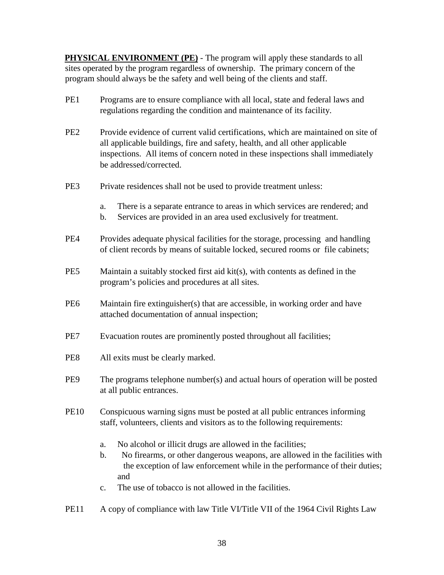**PHYSICAL ENVIRONMENT (PE)** - The program will apply these standards to all sites operated by the program regardless of ownership. The primary concern of the program should always be the safety and well being of the clients and staff.

- PE1 Programs are to ensure compliance with all local, state and federal laws and regulations regarding the condition and maintenance of its facility.
- PE2 Provide evidence of current valid certifications, which are maintained on site of all applicable buildings, fire and safety, health, and all other applicable inspections. All items of concern noted in these inspections shall immediately be addressed/corrected.
- PE3 Private residences shall not be used to provide treatment unless:
	- a. There is a separate entrance to areas in which services are rendered; and
	- b. Services are provided in an area used exclusively for treatment.
- PE4 Provides adequate physical facilities for the storage, processing and handling of client records by means of suitable locked, secured rooms or file cabinets;
- PE5 Maintain a suitably stocked first aid kit(s), with contents as defined in the program's policies and procedures at all sites.
- PE6 Maintain fire extinguisher(s) that are accessible, in working order and have attached documentation of annual inspection;
- PE7 Evacuation routes are prominently posted throughout all facilities;
- PE8 All exits must be clearly marked.
- PE9 The programs telephone number(s) and actual hours of operation will be posted at all public entrances.
- PE10 Conspicuous warning signs must be posted at all public entrances informing staff, volunteers, clients and visitors as to the following requirements:
	- a. No alcohol or illicit drugs are allowed in the facilities;
	- b. No firearms, or other dangerous weapons, are allowed in the facilities with the exception of law enforcement while in the performance of their duties; and
	- c. The use of tobacco is not allowed in the facilities.
- PE11 A copy of compliance with law Title VI/Title VII of the 1964 Civil Rights Law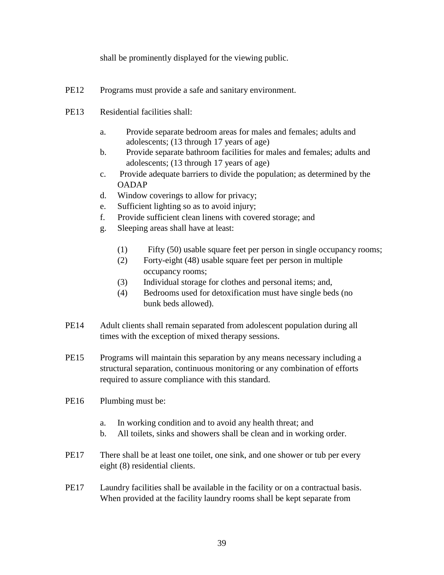shall be prominently displayed for the viewing public.

- PE12 Programs must provide a safe and sanitary environment.
- PE13 Residential facilities shall:
	- a. Provide separate bedroom areas for males and females; adults and adolescents; (13 through 17 years of age)
	- b. Provide separate bathroom facilities for males and females; adults and adolescents; (13 through 17 years of age)
	- c. Provide adequate barriers to divide the population; as determined by the OADAP
	- d. Window coverings to allow for privacy;
	- e. Sufficient lighting so as to avoid injury;
	- f. Provide sufficient clean linens with covered storage; and
	- g. Sleeping areas shall have at least:
		- (1) Fifty (50) usable square feet per person in single occupancy rooms;
		- (2) Forty-eight (48) usable square feet per person in multiple occupancy rooms;
		- (3) Individual storage for clothes and personal items; and,
		- (4) Bedrooms used for detoxification must have single beds (no bunk beds allowed).
- PE14 Adult clients shall remain separated from adolescent population during all times with the exception of mixed therapy sessions.
- PE15 Programs will maintain this separation by any means necessary including a structural separation, continuous monitoring or any combination of efforts required to assure compliance with this standard.
- PE16 Plumbing must be:
	- a. In working condition and to avoid any health threat; and
	- b. All toilets, sinks and showers shall be clean and in working order.
- PE17 There shall be at least one toilet, one sink, and one shower or tub per every eight (8) residential clients.
- PE17 Laundry facilities shall be available in the facility or on a contractual basis. When provided at the facility laundry rooms shall be kept separate from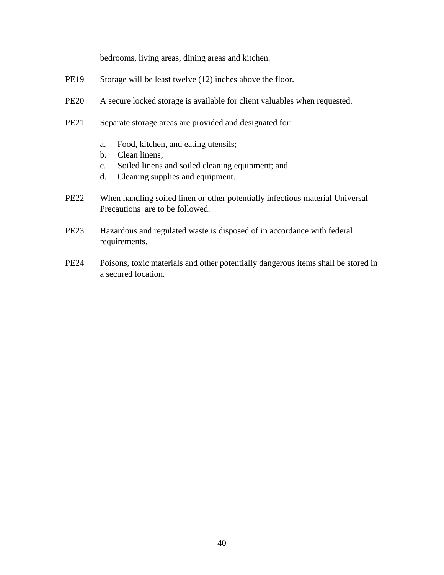bedrooms, living areas, dining areas and kitchen.

- PE19 Storage will be least twelve (12) inches above the floor.
- PE20 A secure locked storage is available for client valuables when requested.
- PE21 Separate storage areas are provided and designated for:
	- a. Food, kitchen, and eating utensils;
	- b. Clean linens;
	- c. Soiled linens and soiled cleaning equipment; and
	- d. Cleaning supplies and equipment.
- PE22 When handling soiled linen or other potentially infectious material Universal Precautions are to be followed.
- PE23 Hazardous and regulated waste is disposed of in accordance with federal requirements.
- PE24 Poisons, toxic materials and other potentially dangerous items shall be stored in a secured location.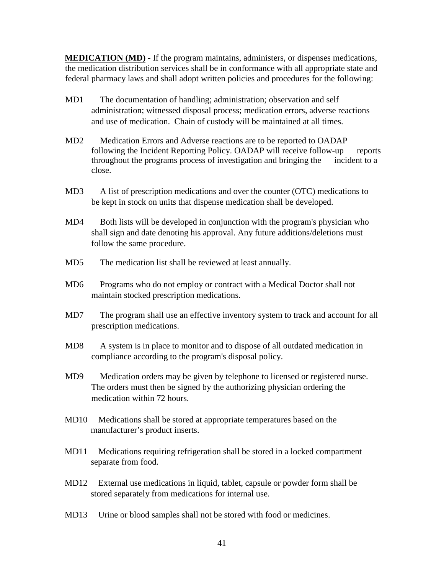**MEDICATION (MD)** - If the program maintains, administers, or dispenses medications, the medication distribution services shall be in conformance with all appropriate state and federal pharmacy laws and shall adopt written policies and procedures for the following:

- MD1 The documentation of handling; administration; observation and self administration; witnessed disposal process; medication errors, adverse reactions and use of medication. Chain of custody will be maintained at all times.
- MD2 Medication Errors and Adverse reactions are to be reported to OADAP following the Incident Reporting Policy. OADAP will receive follow-up reports throughout the programs process of investigation and bringing the incident to a close.
- MD3 A list of prescription medications and over the counter (OTC) medications to be kept in stock on units that dispense medication shall be developed.
- MD4 Both lists will be developed in conjunction with the program's physician who shall sign and date denoting his approval. Any future additions/deletions must follow the same procedure.
- MD5 The medication list shall be reviewed at least annually.
- MD6 Programs who do not employ or contract with a Medical Doctor shall not maintain stocked prescription medications.
- MD7 The program shall use an effective inventory system to track and account for all prescription medications.
- MD8 A system is in place to monitor and to dispose of all outdated medication in compliance according to the program's disposal policy.
- MD9 Medication orders may be given by telephone to licensed or registered nurse. The orders must then be signed by the authorizing physician ordering the medication within 72 hours.
- MD10 Medications shall be stored at appropriate temperatures based on the manufacturer's product inserts.
- MD11 Medications requiring refrigeration shall be stored in a locked compartment separate from food.
- MD12 External use medications in liquid, tablet, capsule or powder form shall be stored separately from medications for internal use.
- MD13 Urine or blood samples shall not be stored with food or medicines.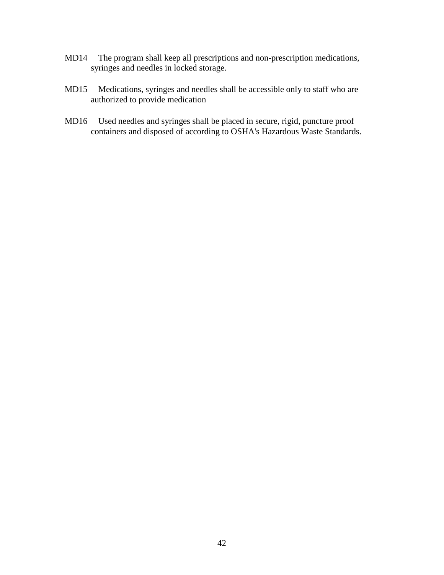- MD14 The program shall keep all prescriptions and non-prescription medications, syringes and needles in locked storage.
- MD15 Medications, syringes and needles shall be accessible only to staff who are authorized to provide medication
- MD16 Used needles and syringes shall be placed in secure, rigid, puncture proof containers and disposed of according to OSHA's Hazardous Waste Standards.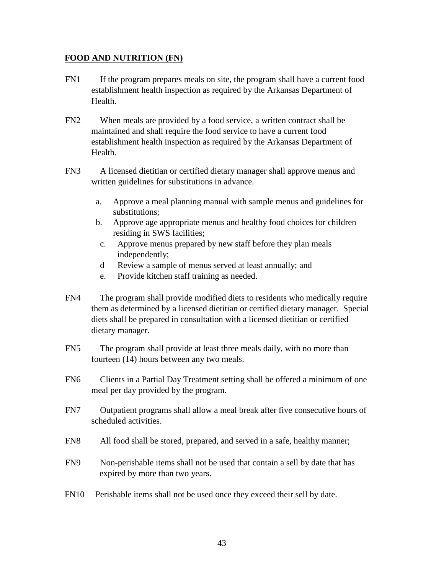#### **FOOD AND NUTRITION (FN)**

- FN1 If the program prepares meals on site, the program shall have a current food establishment health inspection as required by the Arkansas Department of Health.
- FN2 When meals are provided by a food service, a written contract shall be maintained and shall require the food service to have a current food establishment health inspection as required by the Arkansas Department of Health.
- FN3 A licensed dietitian or certified dietary manager shall approve menus and written guidelines for substitutions in advance.
	- a. Approve a meal planning manual with sample menus and guidelines for substitutions;
	- b. Approve age appropriate menus and healthy food choices for children residing in SWS facilities;
	- c. Approve menus prepared by new staff before they plan meals independently;
	- d Review a sample of menus served at least annually; and
	- e. Provide kitchen staff training as needed.
- FN4 The program shall provide modified diets to residents who medically require them as determined by a licensed dietitian or certified dietary manager. Special diets shall be prepared in consultation with a licensed dietitian or certified dietary manager.
- FN5 The program shall provide at least three meals daily, with no more than fourteen (14) hours between any two meals.
- FN6 Clients in a Partial Day Treatment setting shall be offered a minimum of one meal per day provided by the program.
- FN7 Outpatient programs shall allow a meal break after five consecutive hours of scheduled activities.
- FN8 All food shall be stored, prepared, and served in a safe, healthy manner;
- FN9 Non-perishable items shall not be used that contain a sell by date that has expired by more than two years.
- FN10 Perishable items shall not be used once they exceed their sell by date.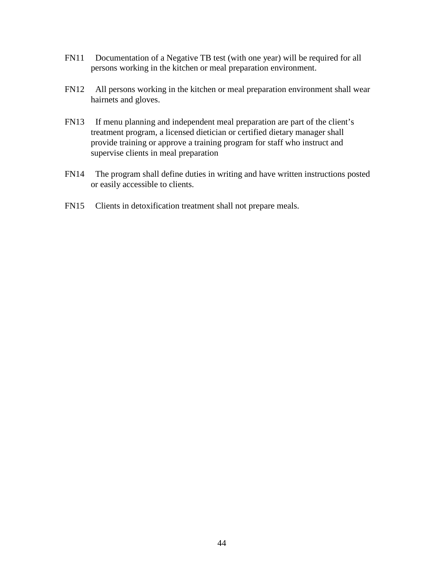- FN11 Documentation of a Negative TB test (with one year) will be required for all persons working in the kitchen or meal preparation environment.
- FN12 All persons working in the kitchen or meal preparation environment shall wear hairnets and gloves.
- FN13 If menu planning and independent meal preparation are part of the client's treatment program, a licensed dietician or certified dietary manager shall provide training or approve a training program for staff who instruct and supervise clients in meal preparation
- FN14 The program shall define duties in writing and have written instructions posted or easily accessible to clients.
- FN15 Clients in detoxification treatment shall not prepare meals.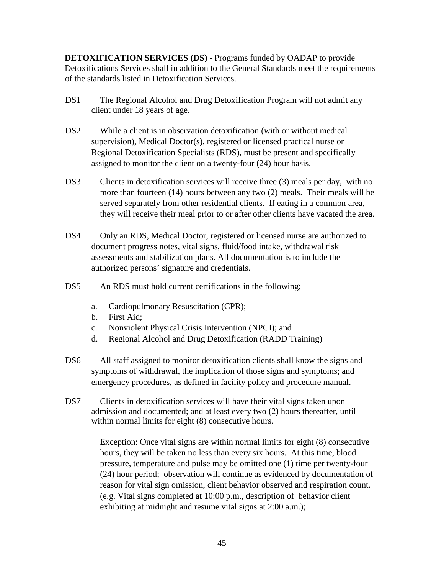**DETOXIFICATION SERVICES (DS)** - Programs funded by OADAP to provide Detoxifications Services shall in addition to the General Standards meet the requirements of the standards listed in Detoxification Services.

- DS1 The Regional Alcohol and Drug Detoxification Program will not admit any client under 18 years of age.
- DS2 While a client is in observation detoxification (with or without medical supervision), Medical Doctor(s), registered or licensed practical nurse or Regional Detoxification Specialists (RDS), must be present and specifically assigned to monitor the client on a twenty-four (24) hour basis.
- DS3 Clients in detoxification services will receive three (3) meals per day, with no more than fourteen (14) hours between any two (2) meals. Their meals will be served separately from other residential clients. If eating in a common area, they will receive their meal prior to or after other clients have vacated the area.
- DS4 Only an RDS, Medical Doctor, registered or licensed nurse are authorized to document progress notes, vital signs, fluid/food intake, withdrawal risk assessments and stabilization plans. All documentation is to include the authorized persons' signature and credentials.
- DS5 An RDS must hold current certifications in the following;
	- a. Cardiopulmonary Resuscitation (CPR);
	- b. First Aid;
	- c. Nonviolent Physical Crisis Intervention (NPCI); and
	- d. Regional Alcohol and Drug Detoxification (RADD Training)
- DS6 All staff assigned to monitor detoxification clients shall know the signs and symptoms of withdrawal, the implication of those signs and symptoms; and emergency procedures, as defined in facility policy and procedure manual.
- DS7 Clients in detoxification services will have their vital signs taken upon admission and documented; and at least every two (2) hours thereafter, until within normal limits for eight (8) consecutive hours.

 Exception: Once vital signs are within normal limits for eight (8) consecutive hours, they will be taken no less than every six hours. At this time, blood pressure, temperature and pulse may be omitted one (1) time per twenty-four (24) hour period; observation will continue as evidenced by documentation of reason for vital sign omission, client behavior observed and respiration count. (e.g. Vital signs completed at 10:00 p.m., description of behavior client exhibiting at midnight and resume vital signs at 2:00 a.m.);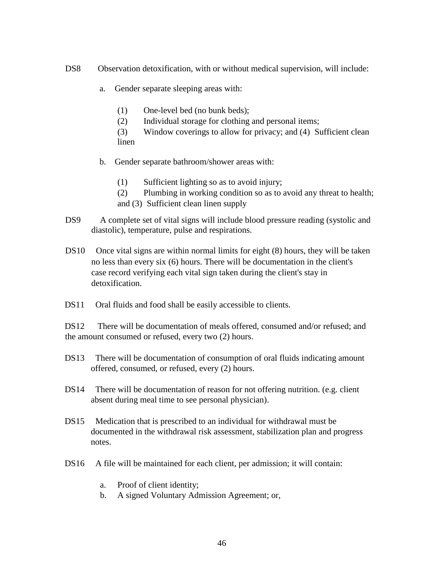DS8 Observation detoxification, with or without medical supervision, will include:

- a. Gender separate sleeping areas with:
	- (1) One-level bed (no bunk beds);
	- (2) Individual storage for clothing and personal items;
	- (3) Window coverings to allow for privacy; and (4) Sufficient clean linen
- b. Gender separate bathroom/shower areas with:
	- (1) Sufficient lighting so as to avoid injury;
	- (2) Plumbing in working condition so as to avoid any threat to health;
	- and (3) Sufficient clean linen supply
- DS9 A complete set of vital signs will include blood pressure reading (systolic and diastolic), temperature, pulse and respirations.
- DS10 Once vital signs are within normal limits for eight (8) hours, they will be taken no less than every six (6) hours. There will be documentation in the client's case record verifying each vital sign taken during the client's stay in detoxification.
- DS11 Oral fluids and food shall be easily accessible to clients.

DS12 There will be documentation of meals offered, consumed and/or refused; and the amount consumed or refused, every two (2) hours.

- DS13 There will be documentation of consumption of oral fluids indicating amount offered, consumed, or refused, every (2) hours.
- DS14 There will be documentation of reason for not offering nutrition. (e.g. client absent during meal time to see personal physician).
- DS15 Medication that is prescribed to an individual for withdrawal must be documented in the withdrawal risk assessment, stabilization plan and progress notes.
- DS16 A file will be maintained for each client, per admission; it will contain:
	- a. Proof of client identity;
	- b. A signed Voluntary Admission Agreement; or,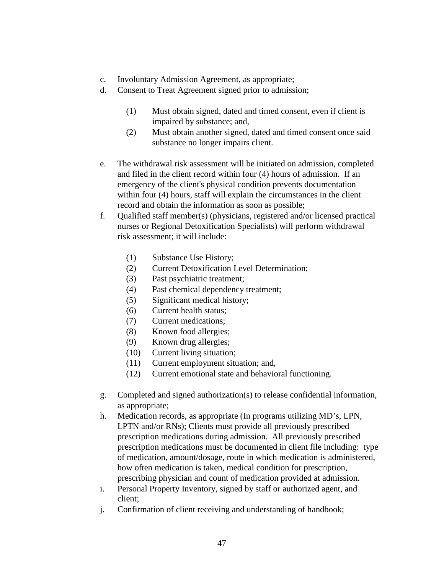- c. Involuntary Admission Agreement, as appropriate;
- d. Consent to Treat Agreement signed prior to admission;
	- (1) Must obtain signed, dated and timed consent, even if client is impaired by substance; and,
	- (2) Must obtain another signed, dated and timed consent once said substance no longer impairs client.
- e. The withdrawal risk assessment will be initiated on admission, completed and filed in the client record within four (4) hours of admission. If an emergency of the client's physical condition prevents documentation within four (4) hours, staff will explain the circumstances in the client record and obtain the information as soon as possible;
- f. Qualified staff member(s) (physicians, registered and/or licensed practical nurses or Regional Detoxification Specialists) will perform withdrawal risk assessment; it will include:
	- (1) Substance Use History;
	- (2) Current Detoxification Level Determination;
	- (3) Past psychiatric treatment;
	- (4) Past chemical dependency treatment;
	- (5) Significant medical history;
	- (6) Current health status;
	- (7) Current medications;
	- (8) Known food allergies;
	- (9) Known drug allergies;
	- (10) Current living situation;
	- (11) Current employment situation; and,
	- (12) Current emotional state and behavioral functioning.
- g. Completed and signed authorization(s) to release confidential information, as appropriate;
- h. Medication records, as appropriate (In programs utilizing MD's, LPN, LPTN and/or RNs); Clients must provide all previously prescribed prescription medications during admission. All previously prescribed prescription medications must be documented in client file including: type of medication, amount/dosage, route in which medication is administered, how often medication is taken, medical condition for prescription, prescribing physician and count of medication provided at admission.
- i. Personal Property Inventory, signed by staff or authorized agent, and client;
- j. Confirmation of client receiving and understanding of handbook;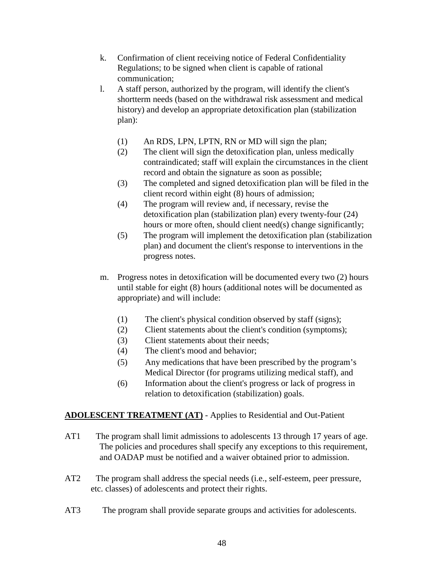- k. Confirmation of client receiving notice of Federal Confidentiality Regulations; to be signed when client is capable of rational communication;
- l. A staff person, authorized by the program, will identify the client's shortterm needs (based on the withdrawal risk assessment and medical history) and develop an appropriate detoxification plan (stabilization plan):
	- (1) An RDS, LPN, LPTN, RN or MD will sign the plan;
	- (2) The client will sign the detoxification plan, unless medically contraindicated; staff will explain the circumstances in the client record and obtain the signature as soon as possible;
	- (3) The completed and signed detoxification plan will be filed in the client record within eight (8) hours of admission;
	- (4) The program will review and, if necessary, revise the detoxification plan (stabilization plan) every twenty-four (24) hours or more often, should client need(s) change significantly;
	- (5) The program will implement the detoxification plan (stabilization plan) and document the client's response to interventions in the progress notes.
- m. Progress notes in detoxification will be documented every two (2) hours until stable for eight (8) hours (additional notes will be documented as appropriate) and will include:
	- (1) The client's physical condition observed by staff (signs);
	- (2) Client statements about the client's condition (symptoms);
	- (3) Client statements about their needs;
	- (4) The client's mood and behavior;
	- (5) Any medications that have been prescribed by the program's Medical Director (for programs utilizing medical staff), and
	- (6) Information about the client's progress or lack of progress in relation to detoxification (stabilization) goals.

# **ADOLESCENT TREATMENT (AT)** - Applies to Residential and Out-Patient

- AT1 The program shall limit admissions to adolescents 13 through 17 years of age. The policies and procedures shall specify any exceptions to this requirement, and OADAP must be notified and a waiver obtained prior to admission.
- AT2 The program shall address the special needs (i.e., self-esteem, peer pressure, etc. classes) of adolescents and protect their rights.
- AT3 The program shall provide separate groups and activities for adolescents.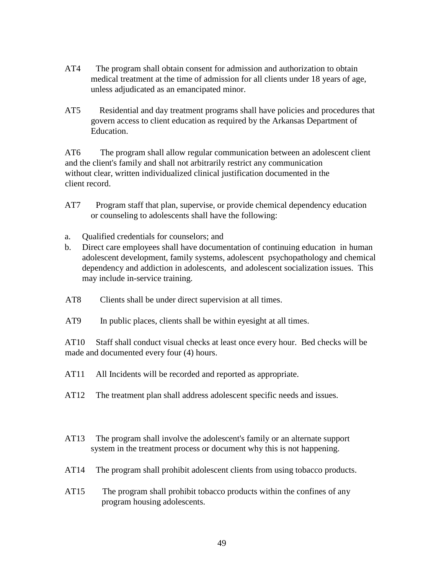- AT4 The program shall obtain consent for admission and authorization to obtain medical treatment at the time of admission for all clients under 18 years of age, unless adjudicated as an emancipated minor.
- AT5 Residential and day treatment programs shall have policies and procedures that govern access to client education as required by the Arkansas Department of Education.

AT6 The program shall allow regular communication between an adolescent client and the client's family and shall not arbitrarily restrict any communication without clear, written individualized clinical justification documented in the client record.

- AT7 Program staff that plan, supervise, or provide chemical dependency education or counseling to adolescents shall have the following:
- a. Qualified credentials for counselors; and
- b. Direct care employees shall have documentation of continuing education in human adolescent development, family systems, adolescent psychopathology and chemical dependency and addiction in adolescents, and adolescent socialization issues. This may include in-service training.
- AT8 Clients shall be under direct supervision at all times.
- AT9 In public places, clients shall be within eyesight at all times.

AT10 Staff shall conduct visual checks at least once every hour. Bed checks will be made and documented every four (4) hours.

- AT11 All Incidents will be recorded and reported as appropriate.
- AT12 The treatment plan shall address adolescent specific needs and issues.
- AT13 The program shall involve the adolescent's family or an alternate support system in the treatment process or document why this is not happening.
- AT14 The program shall prohibit adolescent clients from using tobacco products.
- AT15 The program shall prohibit tobacco products within the confines of any program housing adolescents.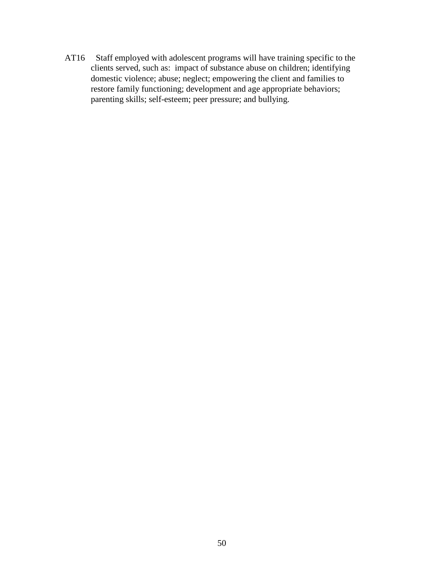AT16 Staff employed with adolescent programs will have training specific to the clients served, such as: impact of substance abuse on children; identifying domestic violence; abuse; neglect; empowering the client and families to restore family functioning; development and age appropriate behaviors; parenting skills; self-esteem; peer pressure; and bullying.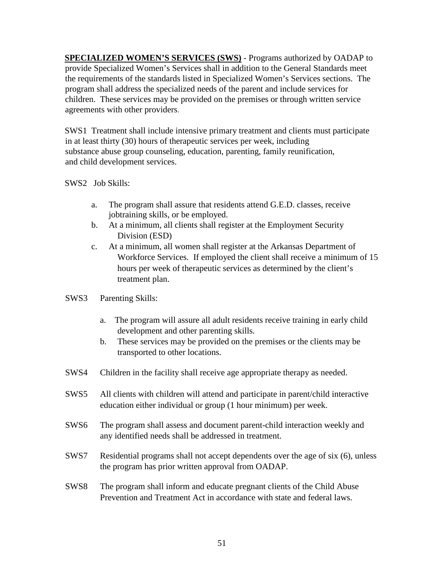**SPECIALIZED WOMEN'S SERVICES (SWS)** - Programs authorized by OADAP to provide Specialized Women's Services shall in addition to the General Standards meet the requirements of the standards listed in Specialized Women's Services sections. The program shall address the specialized needs of the parent and include services for children. These services may be provided on the premises or through written service agreements with other providers.

SWS1 Treatment shall include intensive primary treatment and clients must participate in at least thirty (30) hours of therapeutic services per week, including substance abuse group counseling, education, parenting, family reunification, and child development services.

## SWS2 Job Skills:

- a. The program shall assure that residents attend G.E.D. classes, receive jobtraining skills, or be employed.
- b. At a minimum, all clients shall register at the Employment Security Division (ESD)
- c. At a minimum, all women shall register at the Arkansas Department of Workforce Services. If employed the client shall receive a minimum of 15 hours per week of therapeutic services as determined by the client's treatment plan.
- SWS3 Parenting Skills:
	- a. The program will assure all adult residents receive training in early child development and other parenting skills.
	- b. These services may be provided on the premises or the clients may be transported to other locations.
- SWS4 Children in the facility shall receive age appropriate therapy as needed.
- SWS5 All clients with children will attend and participate in parent/child interactive education either individual or group (1 hour minimum) per week.
- SWS6 The program shall assess and document parent-child interaction weekly and any identified needs shall be addressed in treatment.
- SWS7 Residential programs shall not accept dependents over the age of six (6), unless the program has prior written approval from OADAP.
- SWS8 The program shall inform and educate pregnant clients of the Child Abuse Prevention and Treatment Act in accordance with state and federal laws.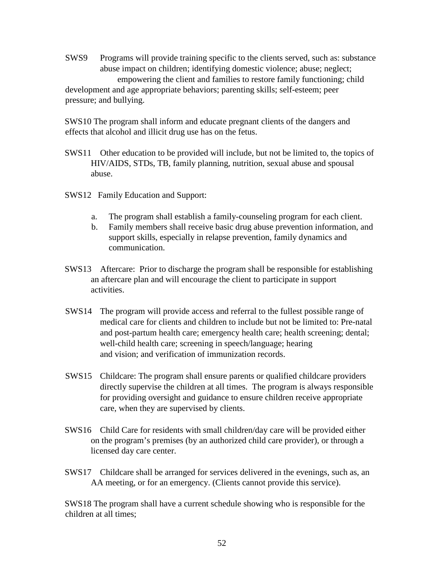SWS9 Programs will provide training specific to the clients served, such as: substance abuse impact on children; identifying domestic violence; abuse; neglect; empowering the client and families to restore family functioning; child development and age appropriate behaviors; parenting skills; self-esteem; peer pressure; and bullying.

SWS10 The program shall inform and educate pregnant clients of the dangers and effects that alcohol and illicit drug use has on the fetus.

- SWS11 Other education to be provided will include, but not be limited to, the topics of HIV/AIDS, STDs, TB, family planning, nutrition, sexual abuse and spousal abuse.
- SWS12 Family Education and Support:
	- a. The program shall establish a family-counseling program for each client.
	- b. Family members shall receive basic drug abuse prevention information, and support skills, especially in relapse prevention, family dynamics and communication.
- SWS13 Aftercare: Prior to discharge the program shall be responsible for establishing an aftercare plan and will encourage the client to participate in support activities.
- SWS14 The program will provide access and referral to the fullest possible range of medical care for clients and children to include but not be limited to: Pre-natal and post-partum health care; emergency health care; health screening; dental; well-child health care; screening in speech/language; hearing and vision; and verification of immunization records.
- SWS15 Childcare: The program shall ensure parents or qualified childcare providers directly supervise the children at all times. The program is always responsible for providing oversight and guidance to ensure children receive appropriate care, when they are supervised by clients.
- SWS16 Child Care for residents with small children/day care will be provided either on the program's premises (by an authorized child care provider), or through a licensed day care center.
- SWS17 Childcare shall be arranged for services delivered in the evenings, such as, an AA meeting, or for an emergency. (Clients cannot provide this service).

SWS18 The program shall have a current schedule showing who is responsible for the children at all times;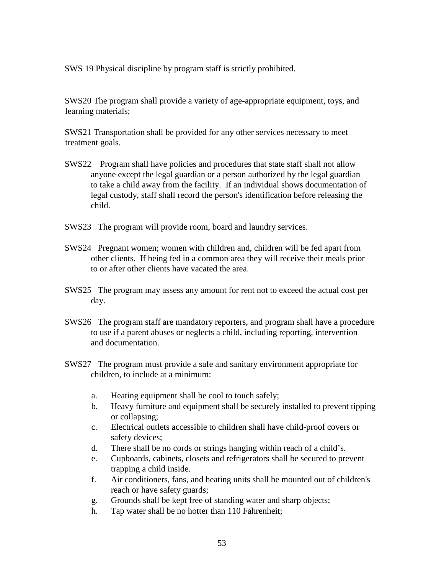SWS 19 Physical discipline by program staff is strictly prohibited.

SWS20 The program shall provide a variety of age-appropriate equipment, toys, and learning materials;

SWS21 Transportation shall be provided for any other services necessary to meet treatment goals.

- SWS22 Program shall have policies and procedures that state staff shall not allow anyone except the legal guardian or a person authorized by the legal guardian to take a child away from the facility. If an individual shows documentation of legal custody, staff shall record the person's identification before releasing the child.
- SWS23 The program will provide room, board and laundry services.
- SWS24 Pregnant women; women with children and, children will be fed apart from other clients. If being fed in a common area they will receive their meals prior to or after other clients have vacated the area.
- SWS25 The program may assess any amount for rent not to exceed the actual cost per day.
- SWS26 The program staff are mandatory reporters, and program shall have a procedure to use if a parent abuses or neglects a child, including reporting, intervention and documentation.
- SWS27 The program must provide a safe and sanitary environment appropriate for children, to include at a minimum:
	- a. Heating equipment shall be cool to touch safely;
	- b. Heavy furniture and equipment shall be securely installed to prevent tipping or collapsing;
	- c. Electrical outlets accessible to children shall have child-proof covers or safety devices;
	- d. There shall be no cords or strings hanging within reach of a child's.
	- e. Cupboards, cabinets, closets and refrigerators shall be secured to prevent trapping a child inside.
	- f. Air conditioners, fans, and heating units shall be mounted out of children's reach or have safety guards;
	- g. Grounds shall be kept free of standing water and sharp objects;
	- h. Tap water shall be no hotter than 110 Fahrenheit;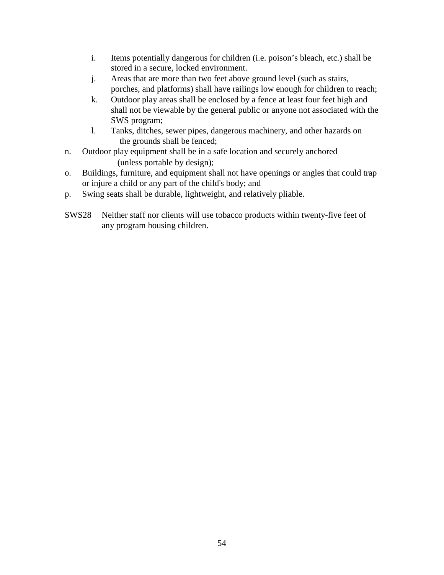- i. Items potentially dangerous for children (i.e. poison's bleach, etc.) shall be stored in a secure, locked environment.
- j. Areas that are more than two feet above ground level (such as stairs, porches, and platforms) shall have railings low enough for children to reach;
- k. Outdoor play areas shall be enclosed by a fence at least four feet high and shall not be viewable by the general public or anyone not associated with the SWS program;
- l. Tanks, ditches, sewer pipes, dangerous machinery, and other hazards on the grounds shall be fenced;
- n. Outdoor play equipment shall be in a safe location and securely anchored (unless portable by design);
- o. Buildings, furniture, and equipment shall not have openings or angles that could trap or injure a child or any part of the child's body; and
- p. Swing seats shall be durable, lightweight, and relatively pliable.
- SWS28 Neither staff nor clients will use tobacco products within twenty-five feet of any program housing children.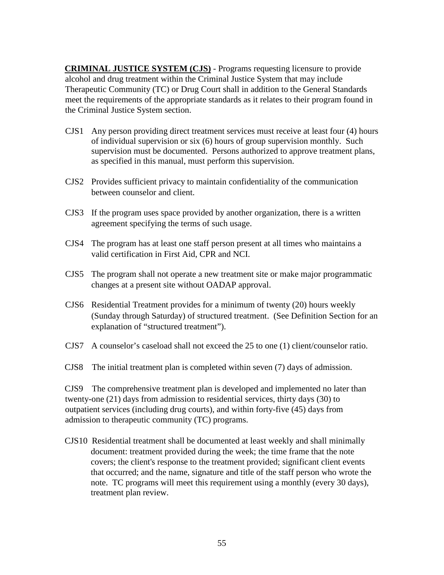**CRIMINAL JUSTICE SYSTEM (CJS)** - Programs requesting licensure to provide alcohol and drug treatment within the Criminal Justice System that may include Therapeutic Community (TC) or Drug Court shall in addition to the General Standards meet the requirements of the appropriate standards as it relates to their program found in the Criminal Justice System section.

- CJS1 Any person providing direct treatment services must receive at least four (4) hours of individual supervision or six (6) hours of group supervision monthly. Such supervision must be documented. Persons authorized to approve treatment plans, as specified in this manual, must perform this supervision.
- CJS2 Provides sufficient privacy to maintain confidentiality of the communication between counselor and client.
- CJS3 If the program uses space provided by another organization, there is a written agreement specifying the terms of such usage.
- CJS4 The program has at least one staff person present at all times who maintains a valid certification in First Aid, CPR and NCI.
- CJS5 The program shall not operate a new treatment site or make major programmatic changes at a present site without OADAP approval.
- CJS6 Residential Treatment provides for a minimum of twenty (20) hours weekly (Sunday through Saturday) of structured treatment. (See Definition Section for an explanation of "structured treatment").
- CJS7 A counselor's caseload shall not exceed the 25 to one (1) client/counselor ratio.
- CJS8 The initial treatment plan is completed within seven (7) days of admission.

CJS9 The comprehensive treatment plan is developed and implemented no later than twenty-one (21) days from admission to residential services, thirty days (30) to outpatient services (including drug courts), and within forty-five (45) days from admission to therapeutic community (TC) programs.

CJS10 Residential treatment shall be documented at least weekly and shall minimally document: treatment provided during the week; the time frame that the note covers; the client's response to the treatment provided; significant client events that occurred; and the name, signature and title of the staff person who wrote the note. TC programs will meet this requirement using a monthly (every 30 days), treatment plan review.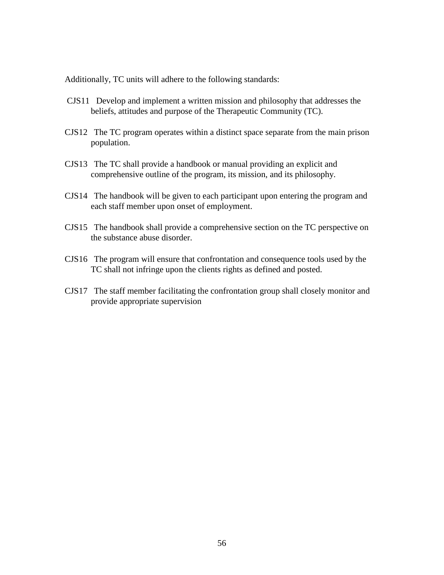Additionally, TC units will adhere to the following standards:

- CJS11 Develop and implement a written mission and philosophy that addresses the beliefs, attitudes and purpose of the Therapeutic Community (TC).
- CJS12 The TC program operates within a distinct space separate from the main prison population.
- CJS13 The TC shall provide a handbook or manual providing an explicit and comprehensive outline of the program, its mission, and its philosophy.
- CJS14 The handbook will be given to each participant upon entering the program and each staff member upon onset of employment.
- CJS15 The handbook shall provide a comprehensive section on the TC perspective on the substance abuse disorder.
- CJS16 The program will ensure that confrontation and consequence tools used by the TC shall not infringe upon the clients rights as defined and posted.
- CJS17 The staff member facilitating the confrontation group shall closely monitor and provide appropriate supervision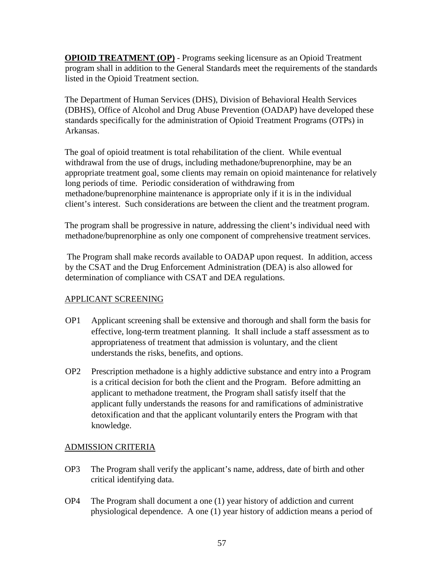**OPIOID TREATMENT (OP)** - Programs seeking licensure as an Opioid Treatment program shall in addition to the General Standards meet the requirements of the standards listed in the Opioid Treatment section.

The Department of Human Services (DHS), Division of Behavioral Health Services (DBHS), Office of Alcohol and Drug Abuse Prevention (OADAP) have developed these standards specifically for the administration of Opioid Treatment Programs (OTPs) in Arkansas.

The goal of opioid treatment is total rehabilitation of the client. While eventual withdrawal from the use of drugs, including methadone/buprenorphine, may be an appropriate treatment goal, some clients may remain on opioid maintenance for relatively long periods of time. Periodic consideration of withdrawing from methadone/buprenorphine maintenance is appropriate only if it is in the individual client's interest. Such considerations are between the client and the treatment program.

The program shall be progressive in nature, addressing the client's individual need with methadone/buprenorphine as only one component of comprehensive treatment services.

The Program shall make records available to OADAP upon request. In addition, access by the CSAT and the Drug Enforcement Administration (DEA) is also allowed for determination of compliance with CSAT and DEA regulations.

# APPLICANT SCREENING

- OP1 Applicant screening shall be extensive and thorough and shall form the basis for effective, long-term treatment planning. It shall include a staff assessment as to appropriateness of treatment that admission is voluntary, and the client understands the risks, benefits, and options.
- OP2 Prescription methadone is a highly addictive substance and entry into a Program is a critical decision for both the client and the Program. Before admitting an applicant to methadone treatment, the Program shall satisfy itself that the applicant fully understands the reasons for and ramifications of administrative detoxification and that the applicant voluntarily enters the Program with that knowledge.

# ADMISSION CRITERIA

- OP3 The Program shall verify the applicant's name, address, date of birth and other critical identifying data.
- OP4 The Program shall document a one (1) year history of addiction and current physiological dependence. A one (1) year history of addiction means a period of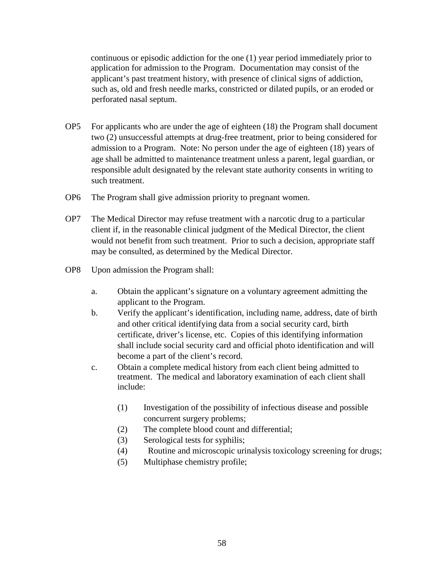continuous or episodic addiction for the one (1) year period immediately prior to application for admission to the Program. Documentation may consist of the applicant's past treatment history, with presence of clinical signs of addiction, such as, old and fresh needle marks, constricted or dilated pupils, or an eroded or perforated nasal septum.

- OP5 For applicants who are under the age of eighteen (18) the Program shall document two (2) unsuccessful attempts at drug-free treatment, prior to being considered for admission to a Program. Note: No person under the age of eighteen (18) years of age shall be admitted to maintenance treatment unless a parent, legal guardian, or responsible adult designated by the relevant state authority consents in writing to such treatment.
- OP6 The Program shall give admission priority to pregnant women.
- OP7 The Medical Director may refuse treatment with a narcotic drug to a particular client if, in the reasonable clinical judgment of the Medical Director, the client would not benefit from such treatment. Prior to such a decision, appropriate staff may be consulted, as determined by the Medical Director.
- OP8 Upon admission the Program shall:
	- a. Obtain the applicant's signature on a voluntary agreement admitting the applicant to the Program.
	- b. Verify the applicant's identification, including name, address, date of birth and other critical identifying data from a social security card, birth certificate, driver's license, etc. Copies of this identifying information shall include social security card and official photo identification and will become a part of the client's record.
	- c. Obtain a complete medical history from each client being admitted to treatment. The medical and laboratory examination of each client shall include:
		- (1) Investigation of the possibility of infectious disease and possible concurrent surgery problems;
		- (2) The complete blood count and differential;
		- (3) Serological tests for syphilis;
		- (4) Routine and microscopic urinalysis toxicology screening for drugs;
		- (5) Multiphase chemistry profile;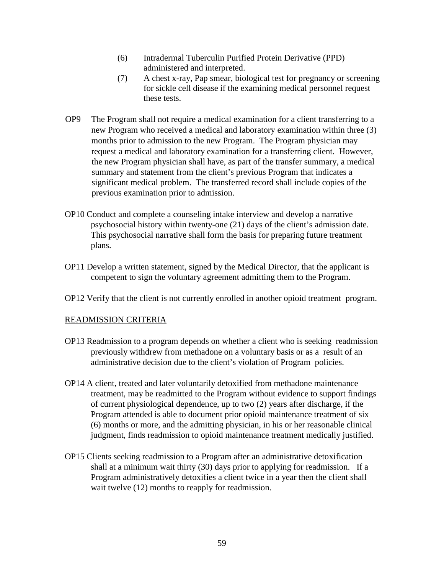- (6) Intradermal Tuberculin Purified Protein Derivative (PPD) administered and interpreted.
- (7) A chest x-ray, Pap smear, biological test for pregnancy or screening for sickle cell disease if the examining medical personnel request these tests.
- OP9 The Program shall not require a medical examination for a client transferring to a new Program who received a medical and laboratory examination within three (3) months prior to admission to the new Program. The Program physician may request a medical and laboratory examination for a transferring client. However, the new Program physician shall have, as part of the transfer summary, a medical summary and statement from the client's previous Program that indicates a significant medical problem. The transferred record shall include copies of the previous examination prior to admission.
- OP10 Conduct and complete a counseling intake interview and develop a narrative psychosocial history within twenty-one (21) days of the client's admission date. This psychosocial narrative shall form the basis for preparing future treatment plans.
- OP11 Develop a written statement, signed by the Medical Director, that the applicant is competent to sign the voluntary agreement admitting them to the Program.
- OP12 Verify that the client is not currently enrolled in another opioid treatment program.

## READMISSION CRITERIA

- OP13 Readmission to a program depends on whether a client who is seeking readmission previously withdrew from methadone on a voluntary basis or as a result of an administrative decision due to the client's violation of Program policies.
- OP14 A client, treated and later voluntarily detoxified from methadone maintenance treatment, may be readmitted to the Program without evidence to support findings of current physiological dependence, up to two (2) years after discharge, if the Program attended is able to document prior opioid maintenance treatment of six (6) months or more, and the admitting physician, in his or her reasonable clinical judgment, finds readmission to opioid maintenance treatment medically justified.
- OP15 Clients seeking readmission to a Program after an administrative detoxification shall at a minimum wait thirty (30) days prior to applying for readmission. If a Program administratively detoxifies a client twice in a year then the client shall wait twelve  $(12)$  months to reapply for readmission.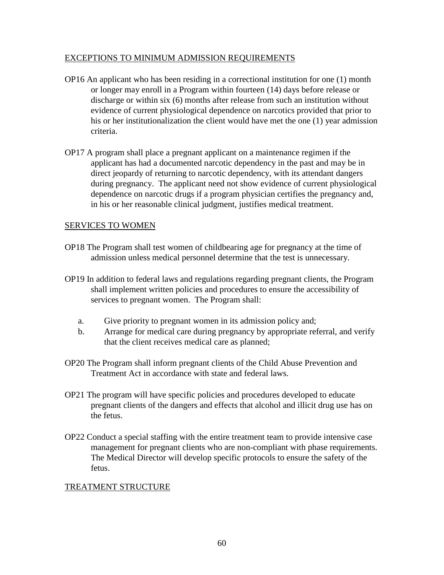### EXCEPTIONS TO MINIMUM ADMISSION REQUIREMENTS

- OP16 An applicant who has been residing in a correctional institution for one (1) month or longer may enroll in a Program within fourteen (14) days before release or discharge or within six (6) months after release from such an institution without evidence of current physiological dependence on narcotics provided that prior to his or her institutionalization the client would have met the one (1) year admission criteria.
- OP17 A program shall place a pregnant applicant on a maintenance regimen if the applicant has had a documented narcotic dependency in the past and may be in direct jeopardy of returning to narcotic dependency, with its attendant dangers during pregnancy. The applicant need not show evidence of current physiological dependence on narcotic drugs if a program physician certifies the pregnancy and, in his or her reasonable clinical judgment, justifies medical treatment.

#### SERVICES TO WOMEN

- OP18 The Program shall test women of childbearing age for pregnancy at the time of admission unless medical personnel determine that the test is unnecessary.
- OP19 In addition to federal laws and regulations regarding pregnant clients, the Program shall implement written policies and procedures to ensure the accessibility of services to pregnant women. The Program shall:
	- a. Give priority to pregnant women in its admission policy and;
	- b. Arrange for medical care during pregnancy by appropriate referral, and verify that the client receives medical care as planned;
- OP20 The Program shall inform pregnant clients of the Child Abuse Prevention and Treatment Act in accordance with state and federal laws.
- OP21 The program will have specific policies and procedures developed to educate pregnant clients of the dangers and effects that alcohol and illicit drug use has on the fetus.
- OP22 Conduct a special staffing with the entire treatment team to provide intensive case management for pregnant clients who are non-compliant with phase requirements. The Medical Director will develop specific protocols to ensure the safety of the fetus.

## TREATMENT STRUCTURE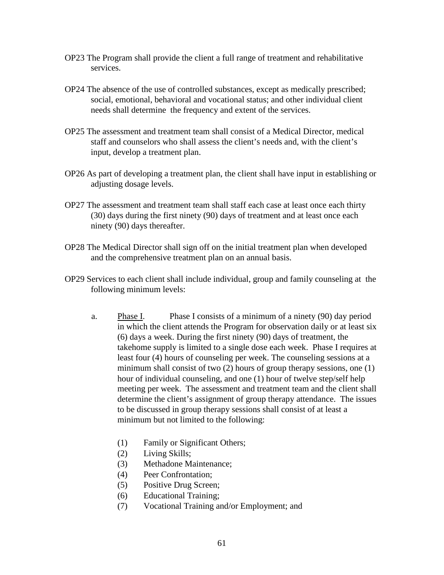- OP23 The Program shall provide the client a full range of treatment and rehabilitative services.
- OP24 The absence of the use of controlled substances, except as medically prescribed; social, emotional, behavioral and vocational status; and other individual client needs shall determine the frequency and extent of the services.
- OP25 The assessment and treatment team shall consist of a Medical Director, medical staff and counselors who shall assess the client's needs and, with the client's input, develop a treatment plan.
- OP26 As part of developing a treatment plan, the client shall have input in establishing or adjusting dosage levels.
- OP27 The assessment and treatment team shall staff each case at least once each thirty (30) days during the first ninety (90) days of treatment and at least once each ninety (90) days thereafter.
- OP28 The Medical Director shall sign off on the initial treatment plan when developed and the comprehensive treatment plan on an annual basis.
- OP29 Services to each client shall include individual, group and family counseling at the following minimum levels:
	- a. Phase I. Phase I consists of a minimum of a ninety (90) day period in which the client attends the Program for observation daily or at least six (6) days a week. During the first ninety (90) days of treatment, the takehome supply is limited to a single dose each week. Phase I requires at least four (4) hours of counseling per week. The counseling sessions at a minimum shall consist of two (2) hours of group therapy sessions, one (1) hour of individual counseling, and one (1) hour of twelve step/self help meeting per week. The assessment and treatment team and the client shall determine the client's assignment of group therapy attendance. The issues to be discussed in group therapy sessions shall consist of at least a minimum but not limited to the following:
		- (1) Family or Significant Others;
		- (2) Living Skills;
		- (3) Methadone Maintenance;
		- (4) Peer Confrontation;
		- (5) Positive Drug Screen;
		- (6) Educational Training;
		- (7) Vocational Training and/or Employment; and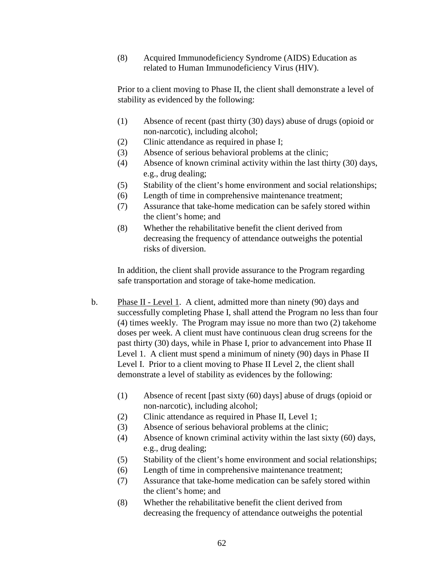(8) Acquired Immunodeficiency Syndrome (AIDS) Education as related to Human Immunodeficiency Virus (HIV).

Prior to a client moving to Phase II, the client shall demonstrate a level of stability as evidenced by the following:

- (1) Absence of recent (past thirty (30) days) abuse of drugs (opioid or non-narcotic), including alcohol;
- (2) Clinic attendance as required in phase I;
- (3) Absence of serious behavioral problems at the clinic;
- (4) Absence of known criminal activity within the last thirty (30) days, e.g., drug dealing;
- (5) Stability of the client's home environment and social relationships;
- (6) Length of time in comprehensive maintenance treatment;
- (7) Assurance that take-home medication can be safely stored within the client's home; and
- (8) Whether the rehabilitative benefit the client derived from decreasing the frequency of attendance outweighs the potential risks of diversion.

In addition, the client shall provide assurance to the Program regarding safe transportation and storage of take-home medication.

- b. Phase II Level 1. A client, admitted more than ninety (90) days and successfully completing Phase I, shall attend the Program no less than four (4) times weekly. The Program may issue no more than two (2) takehome doses per week. A client must have continuous clean drug screens for the past thirty (30) days, while in Phase I, prior to advancement into Phase II Level 1. A client must spend a minimum of ninety (90) days in Phase II Level I. Prior to a client moving to Phase II Level 2, the client shall demonstrate a level of stability as evidences by the following:
	- (1) Absence of recent [past sixty (60) days] abuse of drugs (opioid or non-narcotic), including alcohol;
	- (2) Clinic attendance as required in Phase II, Level 1;
	- (3) Absence of serious behavioral problems at the clinic;
	- (4) Absence of known criminal activity within the last sixty (60) days, e.g., drug dealing;
	- (5) Stability of the client's home environment and social relationships;
	- (6) Length of time in comprehensive maintenance treatment;
	- (7) Assurance that take-home medication can be safely stored within the client's home; and
	- (8) Whether the rehabilitative benefit the client derived from decreasing the frequency of attendance outweighs the potential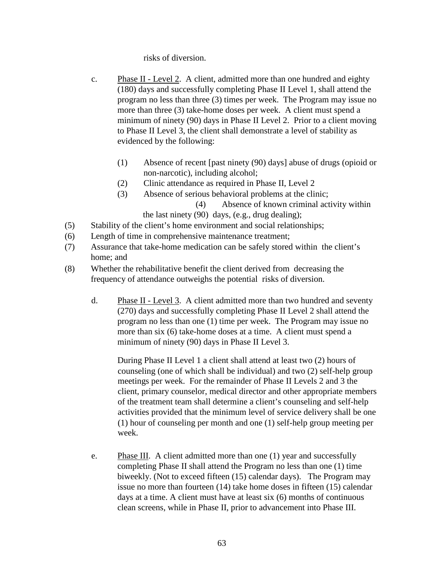risks of diversion.

- c. Phase II Level 2. A client, admitted more than one hundred and eighty (180) days and successfully completing Phase II Level 1, shall attend the program no less than three (3) times per week. The Program may issue no more than three (3) take-home doses per week. A client must spend a minimum of ninety (90) days in Phase II Level 2. Prior to a client moving to Phase II Level 3, the client shall demonstrate a level of stability as evidenced by the following:
	- (1) Absence of recent [past ninety (90) days] abuse of drugs (opioid or non-narcotic), including alcohol;
	- (2) Clinic attendance as required in Phase II, Level 2
	- (3) Absence of serious behavioral problems at the clinic;

(4) Absence of known criminal activity within

the last ninety (90) days, (e.g., drug dealing);

- (5) Stability of the client's home environment and social relationships;
- (6) Length of time in comprehensive maintenance treatment;
- (7) Assurance that take-home medication can be safely stored within the client's home; and
- (8) Whether the rehabilitative benefit the client derived from decreasing the frequency of attendance outweighs the potential risks of diversion.
	- d. Phase II Level 3. A client admitted more than two hundred and seventy (270) days and successfully completing Phase II Level 2 shall attend the program no less than one (1) time per week. The Program may issue no more than six (6) take-home doses at a time. A client must spend a minimum of ninety (90) days in Phase II Level 3.

During Phase II Level 1 a client shall attend at least two (2) hours of counseling (one of which shall be individual) and two (2) self-help group meetings per week. For the remainder of Phase II Levels 2 and 3 the client, primary counselor, medical director and other appropriate members of the treatment team shall determine a client's counseling and self-help activities provided that the minimum level of service delivery shall be one (1) hour of counseling per month and one (1) self-help group meeting per week.

e. Phase III. A client admitted more than one (1) year and successfully completing Phase II shall attend the Program no less than one (1) time biweekly. (Not to exceed fifteen (15) calendar days). The Program may issue no more than fourteen (14) take home doses in fifteen (15) calendar days at a time. A client must have at least six (6) months of continuous clean screens, while in Phase II, prior to advancement into Phase III.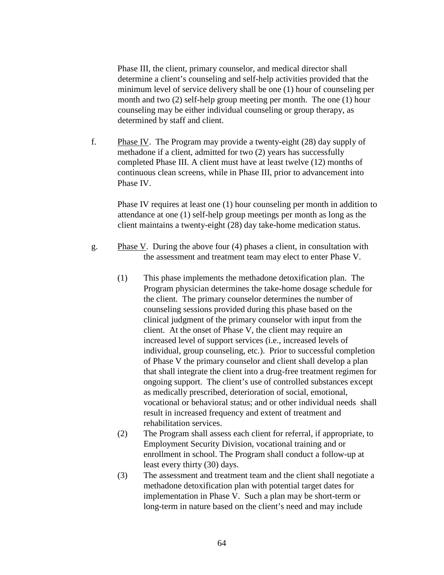Phase III, the client, primary counselor, and medical director shall determine a client's counseling and self-help activities provided that the minimum level of service delivery shall be one (1) hour of counseling per month and two (2) self-help group meeting per month. The one (1) hour counseling may be either individual counseling or group therapy, as determined by staff and client.

f. Phase IV. The Program may provide a twenty-eight (28) day supply of methadone if a client, admitted for two (2) years has successfully completed Phase III. A client must have at least twelve (12) months of continuous clean screens, while in Phase III, prior to advancement into Phase IV.

Phase IV requires at least one (1) hour counseling per month in addition to attendance at one (1) self-help group meetings per month as long as the client maintains a twenty-eight (28) day take-home medication status.

- g. Phase V. During the above four  $(4)$  phases a client, in consultation with the assessment and treatment team may elect to enter Phase V.
	- (1) This phase implements the methadone detoxification plan. The Program physician determines the take-home dosage schedule for the client. The primary counselor determines the number of counseling sessions provided during this phase based on the clinical judgment of the primary counselor with input from the client. At the onset of Phase V, the client may require an increased level of support services (i.e., increased levels of individual, group counseling, etc.). Prior to successful completion of Phase V the primary counselor and client shall develop a plan that shall integrate the client into a drug-free treatment regimen for ongoing support. The client's use of controlled substances except as medically prescribed, deterioration of social, emotional, vocational or behavioral status; and or other individual needs shall result in increased frequency and extent of treatment and rehabilitation services.
	- (2) The Program shall assess each client for referral, if appropriate, to Employment Security Division, vocational training and or enrollment in school. The Program shall conduct a follow-up at least every thirty (30) days.
	- (3) The assessment and treatment team and the client shall negotiate a methadone detoxification plan with potential target dates for implementation in Phase V. Such a plan may be short-term or long-term in nature based on the client's need and may include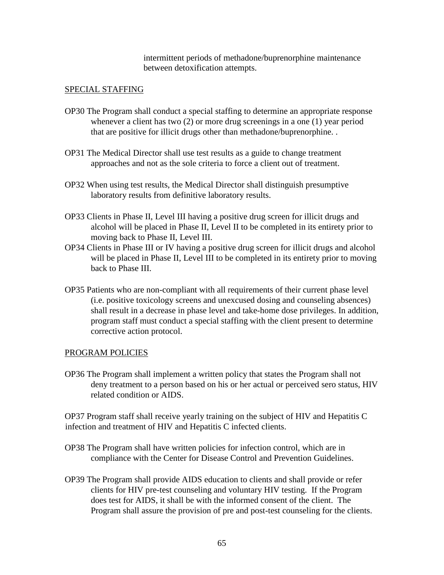intermittent periods of methadone/buprenorphine maintenance between detoxification attempts.

### SPECIAL STAFFING

- OP30 The Program shall conduct a special staffing to determine an appropriate response whenever a client has two (2) or more drug screenings in a one (1) year period that are positive for illicit drugs other than methadone/buprenorphine. .
- OP31 The Medical Director shall use test results as a guide to change treatment approaches and not as the sole criteria to force a client out of treatment.
- OP32 When using test results, the Medical Director shall distinguish presumptive laboratory results from definitive laboratory results.
- OP33 Clients in Phase II, Level III having a positive drug screen for illicit drugs and alcohol will be placed in Phase II, Level II to be completed in its entirety prior to moving back to Phase II, Level III.
- OP34 Clients in Phase III or IV having a positive drug screen for illicit drugs and alcohol will be placed in Phase II, Level III to be completed in its entirety prior to moving back to Phase III.
- OP35 Patients who are non-compliant with all requirements of their current phase level (i.e. positive toxicology screens and unexcused dosing and counseling absences) shall result in a decrease in phase level and take-home dose privileges. In addition, program staff must conduct a special staffing with the client present to determine corrective action protocol.

#### PROGRAM POLICIES

OP36 The Program shall implement a written policy that states the Program shall not deny treatment to a person based on his or her actual or perceived sero status, HIV related condition or AIDS.

OP37 Program staff shall receive yearly training on the subject of HIV and Hepatitis C infection and treatment of HIV and Hepatitis C infected clients.

- OP38 The Program shall have written policies for infection control, which are in compliance with the Center for Disease Control and Prevention Guidelines.
- OP39 The Program shall provide AIDS education to clients and shall provide or refer clients for HIV pre-test counseling and voluntary HIV testing. If the Program does test for AIDS, it shall be with the informed consent of the client. The Program shall assure the provision of pre and post-test counseling for the clients.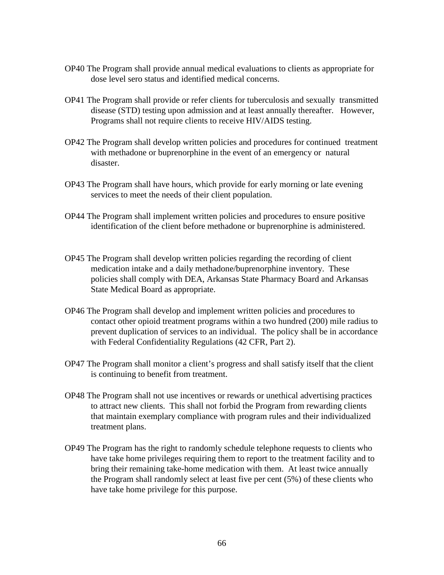- OP40 The Program shall provide annual medical evaluations to clients as appropriate for dose level sero status and identified medical concerns.
- OP41 The Program shall provide or refer clients for tuberculosis and sexually transmitted disease (STD) testing upon admission and at least annually thereafter. However, Programs shall not require clients to receive HIV/AIDS testing.
- OP42 The Program shall develop written policies and procedures for continued treatment with methadone or buprenorphine in the event of an emergency or natural disaster.
- OP43 The Program shall have hours, which provide for early morning or late evening services to meet the needs of their client population.
- OP44 The Program shall implement written policies and procedures to ensure positive identification of the client before methadone or buprenorphine is administered.
- OP45 The Program shall develop written policies regarding the recording of client medication intake and a daily methadone/buprenorphine inventory. These policies shall comply with DEA, Arkansas State Pharmacy Board and Arkansas State Medical Board as appropriate.
- OP46 The Program shall develop and implement written policies and procedures to contact other opioid treatment programs within a two hundred (200) mile radius to prevent duplication of services to an individual. The policy shall be in accordance with Federal Confidentiality Regulations (42 CFR, Part 2).
- OP47 The Program shall monitor a client's progress and shall satisfy itself that the client is continuing to benefit from treatment.
- OP48 The Program shall not use incentives or rewards or unethical advertising practices to attract new clients. This shall not forbid the Program from rewarding clients that maintain exemplary compliance with program rules and their individualized treatment plans.
- OP49 The Program has the right to randomly schedule telephone requests to clients who have take home privileges requiring them to report to the treatment facility and to bring their remaining take-home medication with them. At least twice annually the Program shall randomly select at least five per cent (5%) of these clients who have take home privilege for this purpose.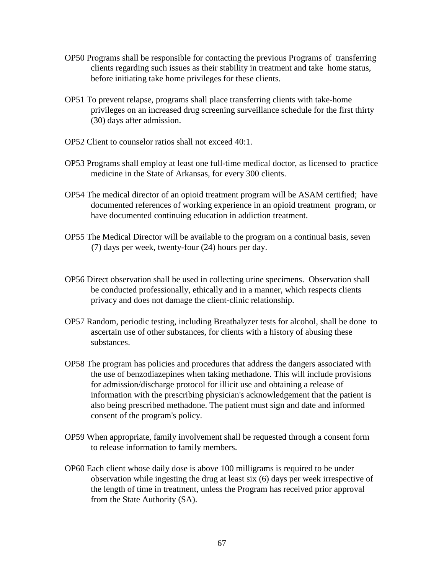- OP50 Programs shall be responsible for contacting the previous Programs of transferring clients regarding such issues as their stability in treatment and take home status, before initiating take home privileges for these clients.
- OP51 To prevent relapse, programs shall place transferring clients with take-home privileges on an increased drug screening surveillance schedule for the first thirty (30) days after admission.
- OP52 Client to counselor ratios shall not exceed 40:1.
- OP53 Programs shall employ at least one full-time medical doctor, as licensed to practice medicine in the State of Arkansas, for every 300 clients.
- OP54 The medical director of an opioid treatment program will be ASAM certified; have documented references of working experience in an opioid treatment program, or have documented continuing education in addiction treatment.
- OP55 The Medical Director will be available to the program on a continual basis, seven (7) days per week, twenty-four (24) hours per day.
- OP56 Direct observation shall be used in collecting urine specimens. Observation shall be conducted professionally, ethically and in a manner, which respects clients privacy and does not damage the client-clinic relationship.
- OP57 Random, periodic testing, including Breathalyzer tests for alcohol, shall be done to ascertain use of other substances, for clients with a history of abusing these substances.
- OP58 The program has policies and procedures that address the dangers associated with the use of benzodiazepines when taking methadone. This will include provisions for admission/discharge protocol for illicit use and obtaining a release of information with the prescribing physician's acknowledgement that the patient is also being prescribed methadone. The patient must sign and date and informed consent of the program's policy.
- OP59 When appropriate, family involvement shall be requested through a consent form to release information to family members.
- OP60 Each client whose daily dose is above 100 milligrams is required to be under observation while ingesting the drug at least six (6) days per week irrespective of the length of time in treatment, unless the Program has received prior approval from the State Authority (SA).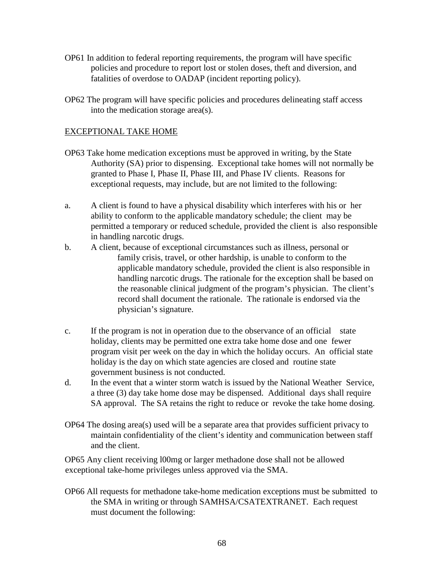- OP61 In addition to federal reporting requirements, the program will have specific policies and procedure to report lost or stolen doses, theft and diversion, and fatalities of overdose to OADAP (incident reporting policy).
- OP62 The program will have specific policies and procedures delineating staff access into the medication storage area(s).

#### EXCEPTIONAL TAKE HOME

- OP63 Take home medication exceptions must be approved in writing, by the State Authority (SA) prior to dispensing. Exceptional take homes will not normally be granted to Phase I, Phase II, Phase III, and Phase IV clients. Reasons for exceptional requests, may include, but are not limited to the following:
- a. A client is found to have a physical disability which interferes with his or her ability to conform to the applicable mandatory schedule; the client may be permitted a temporary or reduced schedule, provided the client is also responsible in handling narcotic drugs.
- b. A client, because of exceptional circumstances such as illness, personal or family crisis, travel, or other hardship, is unable to conform to the applicable mandatory schedule, provided the client is also responsible in handling narcotic drugs. The rationale for the exception shall be based on the reasonable clinical judgment of the program's physician. The client's record shall document the rationale. The rationale is endorsed via the physician's signature.
- c. If the program is not in operation due to the observance of an official state holiday, clients may be permitted one extra take home dose and one fewer program visit per week on the day in which the holiday occurs. An official state holiday is the day on which state agencies are closed and routine state government business is not conducted.
- d. In the event that a winter storm watch is issued by the National Weather Service, a three (3) day take home dose may be dispensed. Additional days shall require SA approval. The SA retains the right to reduce or revoke the take home dosing.
- OP64 The dosing area(s) used will be a separate area that provides sufficient privacy to maintain confidentiality of the client's identity and communication between staff and the client.

OP65 Any client receiving l00mg or larger methadone dose shall not be allowed exceptional take-home privileges unless approved via the SMA.

OP66 All requests for methadone take-home medication exceptions must be submitted to the SMA in writing or through SAMHSA/CSATEXTRANET. Each request must document the following: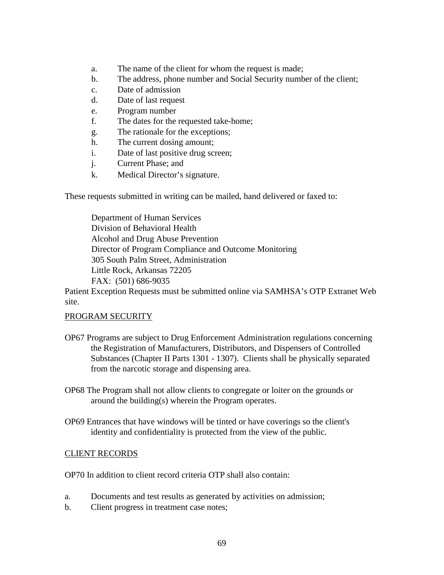- a. The name of the client for whom the request is made;
- b. The address, phone number and Social Security number of the client;
- c. Date of admission
- d. Date of last request
- e. Program number
- f. The dates for the requested take-home;
- g. The rationale for the exceptions;
- h. The current dosing amount;
- i. Date of last positive drug screen;
- j. Current Phase; and
- k. Medical Director's signature.

These requests submitted in writing can be mailed, hand delivered or faxed to:

Department of Human Services Division of Behavioral Health Alcohol and Drug Abuse Prevention Director of Program Compliance and Outcome Monitoring 305 South Palm Street, Administration Little Rock, Arkansas 72205 FAX: (501) 686-9035

Patient Exception Requests must be submitted online via SAMHSA's OTP Extranet Web site.

#### PROGRAM SECURITY

- OP67 Programs are subject to Drug Enforcement Administration regulations concerning the Registration of Manufacturers, Distributors, and Dispensers of Controlled Substances (Chapter II Parts 1301 - 1307). Clients shall be physically separated from the narcotic storage and dispensing area.
- OP68 The Program shall not allow clients to congregate or loiter on the grounds or around the building(s) wherein the Program operates.
- OP69 Entrances that have windows will be tinted or have coverings so the client's identity and confidentiality is protected from the view of the public.

#### CLIENT RECORDS

OP70 In addition to client record criteria OTP shall also contain:

- a. Documents and test results as generated by activities on admission;
- b. Client progress in treatment case notes;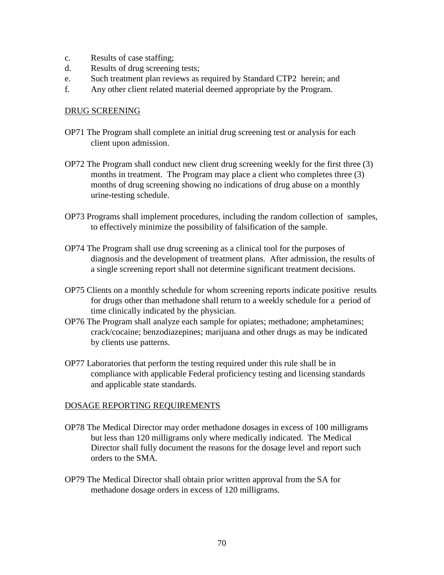- c. Results of case staffing;
- d. Results of drug screening tests;
- e. Such treatment plan reviews as required by Standard CTP2 herein; and
- f. Any other client related material deemed appropriate by the Program.

#### DRUG SCREENING

- OP71 The Program shall complete an initial drug screening test or analysis for each client upon admission.
- OP72 The Program shall conduct new client drug screening weekly for the first three (3) months in treatment. The Program may place a client who completes three (3) months of drug screening showing no indications of drug abuse on a monthly urine-testing schedule.
- OP73 Programs shall implement procedures, including the random collection of samples, to effectively minimize the possibility of falsification of the sample.
- OP74 The Program shall use drug screening as a clinical tool for the purposes of diagnosis and the development of treatment plans. After admission, the results of a single screening report shall not determine significant treatment decisions.
- OP75 Clients on a monthly schedule for whom screening reports indicate positive results for drugs other than methadone shall return to a weekly schedule for a period of time clinically indicated by the physician.
- OP76 The Program shall analyze each sample for opiates; methadone; amphetamines; crack/cocaine; benzodiazepines; marijuana and other drugs as may be indicated by clients use patterns.
- OP77 Laboratories that perform the testing required under this rule shall be in compliance with applicable Federal proficiency testing and licensing standards and applicable state standards.

## DOSAGE REPORTING REQUIREMENTS

- OP78 The Medical Director may order methadone dosages in excess of 100 milligrams but less than 120 milligrams only where medically indicated. The Medical Director shall fully document the reasons for the dosage level and report such orders to the SMA.
- OP79 The Medical Director shall obtain prior written approval from the SA for methadone dosage orders in excess of 120 milligrams.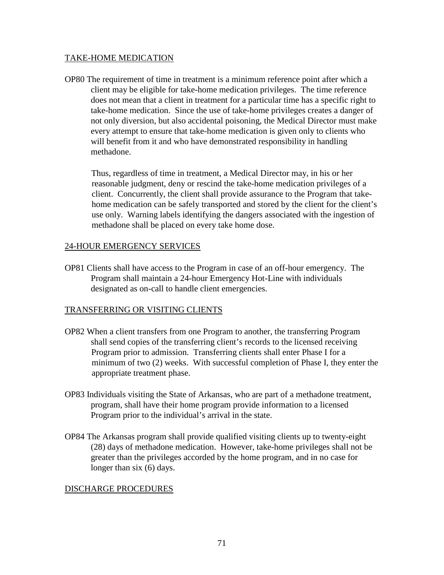### TAKE-HOME MEDICATION

OP80 The requirement of time in treatment is a minimum reference point after which a client may be eligible for take-home medication privileges. The time reference does not mean that a client in treatment for a particular time has a specific right to take-home medication. Since the use of take-home privileges creates a danger of not only diversion, but also accidental poisoning, the Medical Director must make every attempt to ensure that take-home medication is given only to clients who will benefit from it and who have demonstrated responsibility in handling methadone.

Thus, regardless of time in treatment, a Medical Director may, in his or her reasonable judgment, deny or rescind the take-home medication privileges of a client. Concurrently, the client shall provide assurance to the Program that takehome medication can be safely transported and stored by the client for the client's use only. Warning labels identifying the dangers associated with the ingestion of methadone shall be placed on every take home dose.

### 24-HOUR EMERGENCY SERVICES

OP81 Clients shall have access to the Program in case of an off-hour emergency. The Program shall maintain a 24-hour Emergency Hot-Line with individuals designated as on-call to handle client emergencies.

## TRANSFERRING OR VISITING CLIENTS

- OP82 When a client transfers from one Program to another, the transferring Program shall send copies of the transferring client's records to the licensed receiving Program prior to admission. Transferring clients shall enter Phase I for a minimum of two (2) weeks. With successful completion of Phase I, they enter the appropriate treatment phase.
- OP83 Individuals visiting the State of Arkansas, who are part of a methadone treatment, program, shall have their home program provide information to a licensed Program prior to the individual's arrival in the state.
- OP84 The Arkansas program shall provide qualified visiting clients up to twenty-eight (28) days of methadone medication. However, take-home privileges shall not be greater than the privileges accorded by the home program, and in no case for longer than six (6) days.

## DISCHARGE PROCEDURES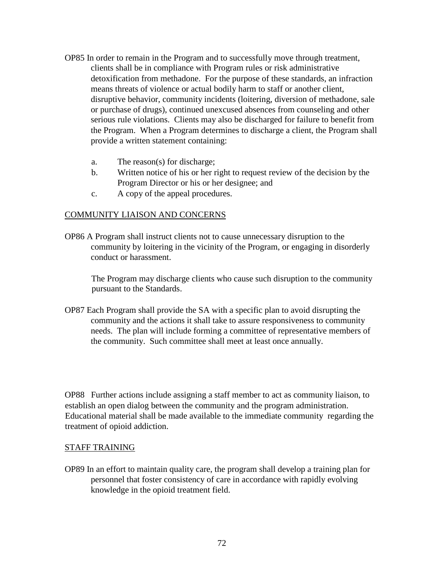- OP85 In order to remain in the Program and to successfully move through treatment, clients shall be in compliance with Program rules or risk administrative detoxification from methadone. For the purpose of these standards, an infraction means threats of violence or actual bodily harm to staff or another client, disruptive behavior, community incidents (loitering, diversion of methadone, sale or purchase of drugs), continued unexcused absences from counseling and other serious rule violations. Clients may also be discharged for failure to benefit from the Program. When a Program determines to discharge a client, the Program shall provide a written statement containing:
	- a. The reason(s) for discharge;
	- b. Written notice of his or her right to request review of the decision by the Program Director or his or her designee; and
	- c. A copy of the appeal procedures.

#### COMMUNITY LIAISON AND CONCERNS

OP86 A Program shall instruct clients not to cause unnecessary disruption to the community by loitering in the vicinity of the Program, or engaging in disorderly conduct or harassment.

The Program may discharge clients who cause such disruption to the community pursuant to the Standards.

OP87 Each Program shall provide the SA with a specific plan to avoid disrupting the community and the actions it shall take to assure responsiveness to community needs. The plan will include forming a committee of representative members of the community. Such committee shall meet at least once annually.

OP88 Further actions include assigning a staff member to act as community liaison, to establish an open dialog between the community and the program administration. Educational material shall be made available to the immediate community regarding the treatment of opioid addiction.

#### STAFF TRAINING

OP89 In an effort to maintain quality care, the program shall develop a training plan for personnel that foster consistency of care in accordance with rapidly evolving knowledge in the opioid treatment field.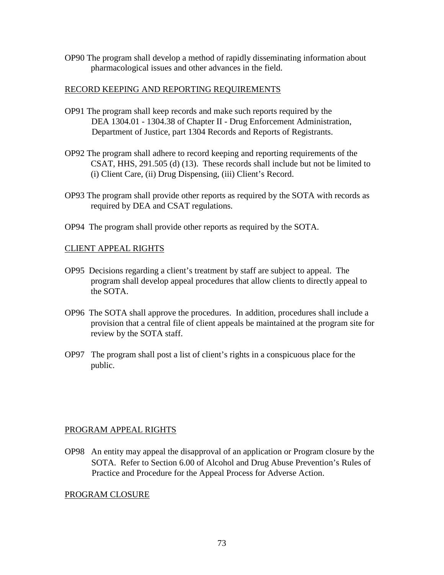OP90 The program shall develop a method of rapidly disseminating information about pharmacological issues and other advances in the field.

### RECORD KEEPING AND REPORTING REQUIREMENTS

- OP91 The program shall keep records and make such reports required by the DEA 1304.01 - 1304.38 of Chapter II - Drug Enforcement Administration, Department of Justice, part 1304 Records and Reports of Registrants.
- OP92 The program shall adhere to record keeping and reporting requirements of the CSAT, HHS, 291.505 (d) (13). These records shall include but not be limited to (i) Client Care, (ii) Drug Dispensing, (iii) Client's Record.
- OP93 The program shall provide other reports as required by the SOTA with records as required by DEA and CSAT regulations.
- OP94 The program shall provide other reports as required by the SOTA.

## CLIENT APPEAL RIGHTS

- OP95 Decisions regarding a client's treatment by staff are subject to appeal. The program shall develop appeal procedures that allow clients to directly appeal to the SOTA.
- OP96 The SOTA shall approve the procedures. In addition, procedures shall include a provision that a central file of client appeals be maintained at the program site for review by the SOTA staff.
- OP97 The program shall post a list of client's rights in a conspicuous place for the public.

### PROGRAM APPEAL RIGHTS

OP98 An entity may appeal the disapproval of an application or Program closure by the SOTA. Refer to Section 6.00 of Alcohol and Drug Abuse Prevention's Rules of Practice and Procedure for the Appeal Process for Adverse Action.

### PROGRAM CLOSURE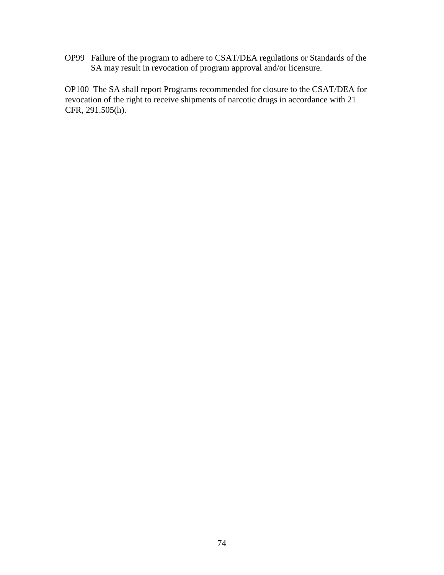OP99 Failure of the program to adhere to CSAT/DEA regulations or Standards of the SA may result in revocation of program approval and/or licensure.

OP100 The SA shall report Programs recommended for closure to the CSAT/DEA for revocation of the right to receive shipments of narcotic drugs in accordance with 21 CFR, 291.505(h).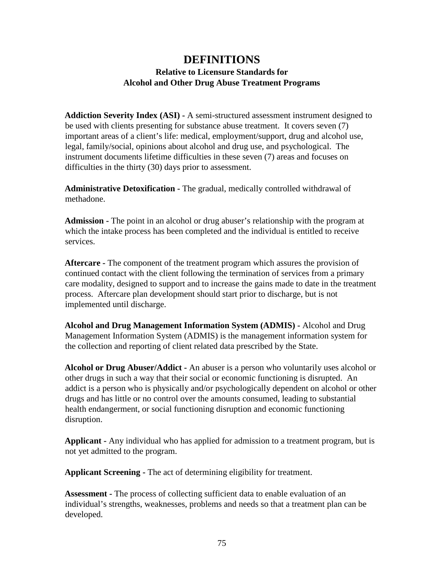# **DEFINITIONS Relative to Licensure Standards for Alcohol and Other Drug Abuse Treatment Programs**

**Addiction Severity Index (ASI) -** A semi-structured assessment instrument designed to be used with clients presenting for substance abuse treatment. It covers seven (7) important areas of a client's life: medical, employment/support, drug and alcohol use, legal, family/social, opinions about alcohol and drug use, and psychological. The instrument documents lifetime difficulties in these seven (7) areas and focuses on difficulties in the thirty (30) days prior to assessment.

**Administrative Detoxification -** The gradual, medically controlled withdrawal of methadone.

**Admission -** The point in an alcohol or drug abuser's relationship with the program at which the intake process has been completed and the individual is entitled to receive services.

**Aftercare -** The component of the treatment program which assures the provision of continued contact with the client following the termination of services from a primary care modality, designed to support and to increase the gains made to date in the treatment process. Aftercare plan development should start prior to discharge, but is not implemented until discharge.

**Alcohol and Drug Management Information System (ADMIS) -** Alcohol and Drug Management Information System (ADMIS) is the management information system for the collection and reporting of client related data prescribed by the State.

**Alcohol or Drug Abuser/Addict -** An abuser is a person who voluntarily uses alcohol or other drugs in such a way that their social or economic functioning is disrupted. An addict is a person who is physically and/or psychologically dependent on alcohol or other drugs and has little or no control over the amounts consumed, leading to substantial health endangerment, or social functioning disruption and economic functioning disruption.

**Applicant -** Any individual who has applied for admission to a treatment program, but is not yet admitted to the program.

**Applicant Screening -** The act of determining eligibility for treatment.

**Assessment -** The process of collecting sufficient data to enable evaluation of an individual's strengths, weaknesses, problems and needs so that a treatment plan can be developed.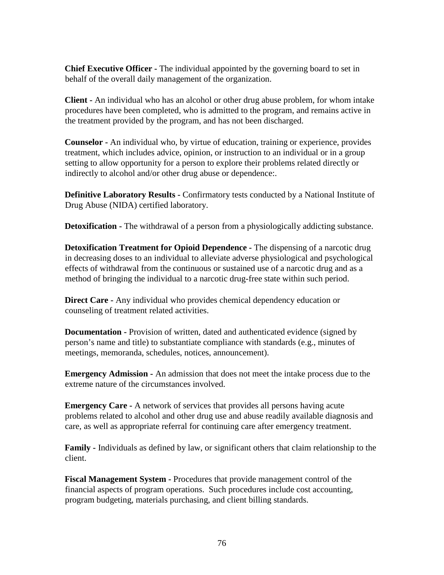**Chief Executive Officer -** The individual appointed by the governing board to set in behalf of the overall daily management of the organization.

**Client -** An individual who has an alcohol or other drug abuse problem, for whom intake procedures have been completed, who is admitted to the program, and remains active in the treatment provided by the program, and has not been discharged.

**Counselor -** An individual who, by virtue of education, training or experience, provides treatment, which includes advice, opinion, or instruction to an individual or in a group setting to allow opportunity for a person to explore their problems related directly or indirectly to alcohol and/or other drug abuse or dependence:.

**Definitive Laboratory Results -** Confirmatory tests conducted by a National Institute of Drug Abuse (NIDA) certified laboratory.

**Detoxification -** The withdrawal of a person from a physiologically addicting substance.

**Detoxification Treatment for Opioid Dependence -** The dispensing of a narcotic drug in decreasing doses to an individual to alleviate adverse physiological and psychological effects of withdrawal from the continuous or sustained use of a narcotic drug and as a method of bringing the individual to a narcotic drug-free state within such period.

**Direct Care -** Any individual who provides chemical dependency education or counseling of treatment related activities.

**Documentation -** Provision of written, dated and authenticated evidence (signed by person's name and title) to substantiate compliance with standards (e.g., minutes of meetings, memoranda, schedules, notices, announcement).

**Emergency Admission -** An admission that does not meet the intake process due to the extreme nature of the circumstances involved.

**Emergency Care -** A network of services that provides all persons having acute problems related to alcohol and other drug use and abuse readily available diagnosis and care, as well as appropriate referral for continuing care after emergency treatment.

**Family -** Individuals as defined by law, or significant others that claim relationship to the client.

**Fiscal Management System -** Procedures that provide management control of the financial aspects of program operations. Such procedures include cost accounting, program budgeting, materials purchasing, and client billing standards.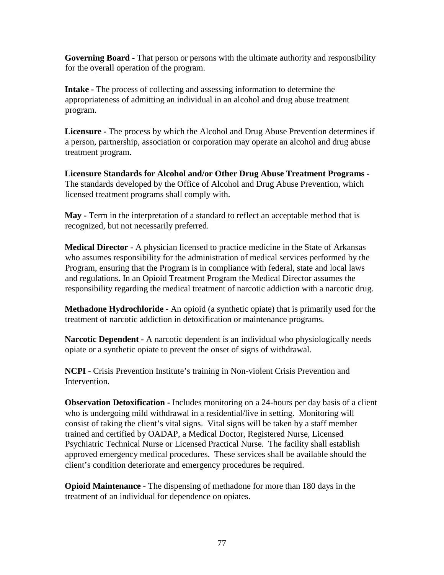**Governing Board -** That person or persons with the ultimate authority and responsibility for the overall operation of the program.

**Intake -** The process of collecting and assessing information to determine the appropriateness of admitting an individual in an alcohol and drug abuse treatment program.

**Licensure -** The process by which the Alcohol and Drug Abuse Prevention determines if a person, partnership, association or corporation may operate an alcohol and drug abuse treatment program.

**Licensure Standards for Alcohol and/or Other Drug Abuse Treatment Programs -** The standards developed by the Office of Alcohol and Drug Abuse Prevention, which licensed treatment programs shall comply with.

**May -** Term in the interpretation of a standard to reflect an acceptable method that is recognized, but not necessarily preferred.

**Medical Director -** A physician licensed to practice medicine in the State of Arkansas who assumes responsibility for the administration of medical services performed by the Program, ensuring that the Program is in compliance with federal, state and local laws and regulations. In an Opioid Treatment Program the Medical Director assumes the responsibility regarding the medical treatment of narcotic addiction with a narcotic drug.

**Methadone Hydrochloride** - An opioid (a synthetic opiate) that is primarily used for the treatment of narcotic addiction in detoxification or maintenance programs.

**Narcotic Dependent -** A narcotic dependent is an individual who physiologically needs opiate or a synthetic opiate to prevent the onset of signs of withdrawal.

**NCPI -** Crisis Prevention Institute's training in Non-violent Crisis Prevention and Intervention.

**Observation Detoxification -** Includes monitoring on a 24-hours per day basis of a client who is undergoing mild withdrawal in a residential/live in setting. Monitoring will consist of taking the client's vital signs. Vital signs will be taken by a staff member trained and certified by OADAP, a Medical Doctor, Registered Nurse, Licensed Psychiatric Technical Nurse or Licensed Practical Nurse. The facility shall establish approved emergency medical procedures. These services shall be available should the client's condition deteriorate and emergency procedures be required.

**Opioid Maintenance -** The dispensing of methadone for more than 180 days in the treatment of an individual for dependence on opiates.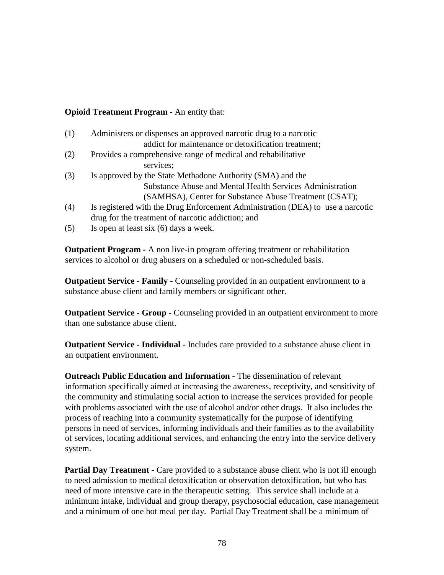## **Opioid Treatment Program -** An entity that:

| (1) | Administers or dispenses an approved narcotic drug to a narcotic               |
|-----|--------------------------------------------------------------------------------|
|     | addict for maintenance or detoxification treatment;                            |
| (2) | Provides a comprehensive range of medical and rehabilitative                   |
|     | services;                                                                      |
| (3) | Is approved by the State Methadone Authority (SMA) and the                     |
|     | Substance Abuse and Mental Health Services Administration                      |
|     | (SAMHSA), Center for Substance Abuse Treatment (CSAT);                         |
| (4) | Is registered with the Drug Enforcement Administration (DEA) to use a narcotic |
|     | drug for the treatment of narcotic addiction; and                              |
| (5) | Is open at least six (6) days a week.                                          |

**Outpatient Program -** A non live-in program offering treatment or rehabilitation services to alcohol or drug abusers on a scheduled or non-scheduled basis.

**Outpatient Service - Family** - Counseling provided in an outpatient environment to a substance abuse client and family members or significant other.

**Outpatient Service - Group -** Counseling provided in an outpatient environment to more than one substance abuse client.

**Outpatient Service - Individual** - Includes care provided to a substance abuse client in an outpatient environment.

**Outreach Public Education and Information -** The dissemination of relevant information specifically aimed at increasing the awareness, receptivity, and sensitivity of the community and stimulating social action to increase the services provided for people with problems associated with the use of alcohol and/or other drugs. It also includes the process of reaching into a community systematically for the purpose of identifying persons in need of services, informing individuals and their families as to the availability of services, locating additional services, and enhancing the entry into the service delivery system.

**Partial Day Treatment -** Care provided to a substance abuse client who is not ill enough to need admission to medical detoxification or observation detoxification, but who has need of more intensive care in the therapeutic setting. This service shall include at a minimum intake, individual and group therapy, psychosocial education, case management and a minimum of one hot meal per day. Partial Day Treatment shall be a minimum of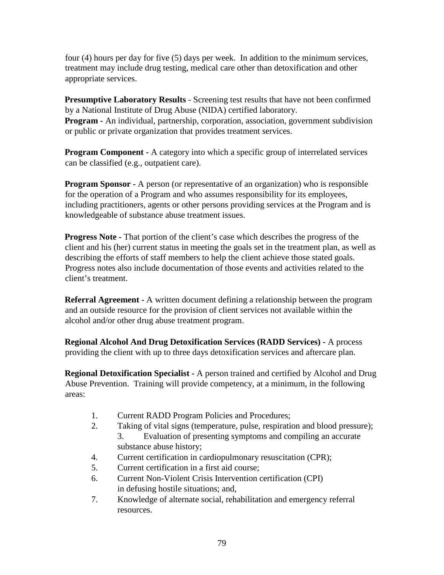four (4) hours per day for five (5) days per week. In addition to the minimum services, treatment may include drug testing, medical care other than detoxification and other appropriate services.

**Presumptive Laboratory Results** - Screening test results that have not been confirmed by a National Institute of Drug Abuse (NIDA) certified laboratory. **Program -** An individual, partnership, corporation, association, government subdivision or public or private organization that provides treatment services.

**Program Component -** A category into which a specific group of interrelated services can be classified (e.g., outpatient care).

**Program Sponsor -** A person (or representative of an organization) who is responsible for the operation of a Program and who assumes responsibility for its employees, including practitioners, agents or other persons providing services at the Program and is knowledgeable of substance abuse treatment issues.

**Progress Note -** That portion of the client's case which describes the progress of the client and his (her) current status in meeting the goals set in the treatment plan, as well as describing the efforts of staff members to help the client achieve those stated goals. Progress notes also include documentation of those events and activities related to the client's treatment.

**Referral Agreement -** A written document defining a relationship between the program and an outside resource for the provision of client services not available within the alcohol and/or other drug abuse treatment program.

**Regional Alcohol And Drug Detoxification Services (RADD Services) -** A process providing the client with up to three days detoxification services and aftercare plan.

**Regional Detoxification Specialist -** A person trained and certified by Alcohol and Drug Abuse Prevention. Training will provide competency, at a minimum, in the following areas:

- 1. Current RADD Program Policies and Procedures;
- 2. Taking of vital signs (temperature, pulse, respiration and blood pressure);
	- 3. Evaluation of presenting symptoms and compiling an accurate substance abuse history;
- 4. Current certification in cardiopulmonary resuscitation (CPR);
- 5. Current certification in a first aid course;
- 6. Current Non-Violent Crisis Intervention certification (CPI) in defusing hostile situations; and,
- 7. Knowledge of alternate social, rehabilitation and emergency referral resources.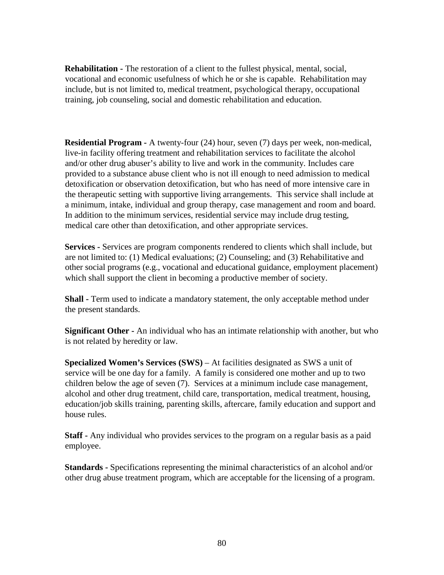**Rehabilitation -** The restoration of a client to the fullest physical, mental, social, vocational and economic usefulness of which he or she is capable. Rehabilitation may include, but is not limited to, medical treatment, psychological therapy, occupational training, job counseling, social and domestic rehabilitation and education.

**Residential Program -** A twenty-four (24) hour, seven (7) days per week, non-medical, live-in facility offering treatment and rehabilitation services to facilitate the alcohol and/or other drug abuser's ability to live and work in the community. Includes care provided to a substance abuse client who is not ill enough to need admission to medical detoxification or observation detoxification, but who has need of more intensive care in the therapeutic setting with supportive living arrangements. This service shall include at a minimum, intake, individual and group therapy, case management and room and board. In addition to the minimum services, residential service may include drug testing, medical care other than detoxification, and other appropriate services.

**Services -** Services are program components rendered to clients which shall include, but are not limited to: (1) Medical evaluations; (2) Counseling; and (3) Rehabilitative and other social programs (e.g., vocational and educational guidance, employment placement) which shall support the client in becoming a productive member of society.

**Shall -** Term used to indicate a mandatory statement, the only acceptable method under the present standards.

**Significant Other -** An individual who has an intimate relationship with another, but who is not related by heredity or law.

**Specialized Women's Services (SWS)** – At facilities designated as SWS a unit of service will be one day for a family. A family is considered one mother and up to two children below the age of seven (7). Services at a minimum include case management, alcohol and other drug treatment, child care, transportation, medical treatment, housing, education/job skills training, parenting skills, aftercare, family education and support and house rules.

**Staff -** Any individual who provides services to the program on a regular basis as a paid employee.

**Standards -** Specifications representing the minimal characteristics of an alcohol and/or other drug abuse treatment program, which are acceptable for the licensing of a program.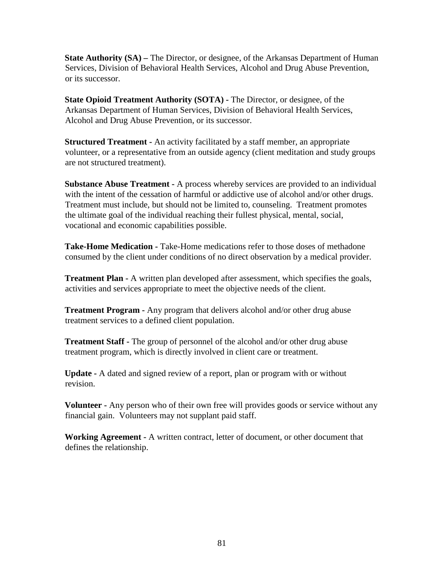**State Authority (SA)** – The Director, or designee, of the Arkansas Department of Human Services, Division of Behavioral Health Services, Alcohol and Drug Abuse Prevention, or its successor.

**State Opioid Treatment Authority (SOTA) -** The Director, or designee, of the Arkansas Department of Human Services, Division of Behavioral Health Services, Alcohol and Drug Abuse Prevention, or its successor.

**Structured Treatment -** An activity facilitated by a staff member, an appropriate volunteer, or a representative from an outside agency (client meditation and study groups are not structured treatment).

**Substance Abuse Treatment -** A process whereby services are provided to an individual with the intent of the cessation of harmful or addictive use of alcohol and/or other drugs. Treatment must include, but should not be limited to, counseling. Treatment promotes the ultimate goal of the individual reaching their fullest physical, mental, social, vocational and economic capabilities possible.

**Take-Home Medication -** Take-Home medications refer to those doses of methadone consumed by the client under conditions of no direct observation by a medical provider.

**Treatment Plan -** A written plan developed after assessment, which specifies the goals, activities and services appropriate to meet the objective needs of the client.

**Treatment Program -** Any program that delivers alcohol and/or other drug abuse treatment services to a defined client population.

**Treatment Staff -** The group of personnel of the alcohol and/or other drug abuse treatment program, which is directly involved in client care or treatment.

**Update -** A dated and signed review of a report, plan or program with or without revision.

**Volunteer -** Any person who of their own free will provides goods or service without any financial gain. Volunteers may not supplant paid staff.

**Working Agreement -** A written contract, letter of document, or other document that defines the relationship.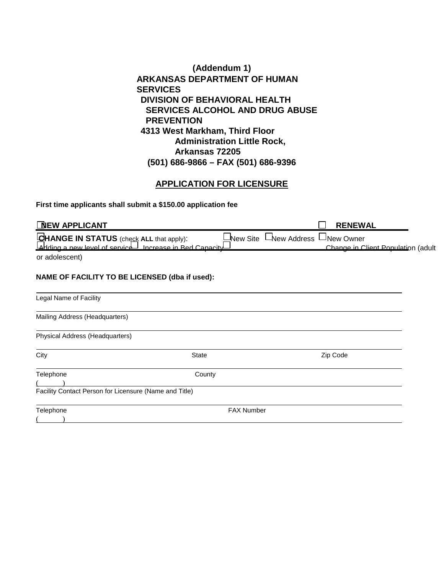**(Addendum 1) ARKANSAS DEPARTMENT OF HUMAN SERVICES DIVISION OF BEHAVIORAL HEALTH SERVICES ALCOHOL AND DRUG ABUSE PREVENTION 4313 West Markham, Third Floor Administration Little Rock, Arkansas 72205 (501) 686-9866 – FAX (501) 686-9396** 

## **APPLICATION FOR LICENSURE**

**First time applicants shall submit a \$150.00 application fee** 

| <b>NEW APPLICANT</b>                                                                                |                          | <b>RENEWAL</b>                                         |
|-----------------------------------------------------------------------------------------------------|--------------------------|--------------------------------------------------------|
| CHANGE IN STATUS (check ALL that apply):<br>Landing a new level of service Increase in Red Canacity | LNew Address<br>New Site | $\Box$ New Owner<br>Change in Client Population (adult |
| or adolescent)                                                                                      |                          |                                                        |
| NAME OF FACILITY TO BE LICENSED (dba if used):                                                      |                          |                                                        |
| Legal Name of Facility                                                                              |                          |                                                        |
| Mailing Address (Headquarters)                                                                      |                          |                                                        |
| Physical Address (Headquarters)                                                                     |                          |                                                        |
| City                                                                                                | <b>State</b>             | Zip Code                                               |
| Telephone                                                                                           | County                   |                                                        |
| Facility Contact Person for Licensure (Name and Title)                                              |                          |                                                        |
| Telephone                                                                                           | <b>FAX Number</b>        |                                                        |
|                                                                                                     |                          |                                                        |